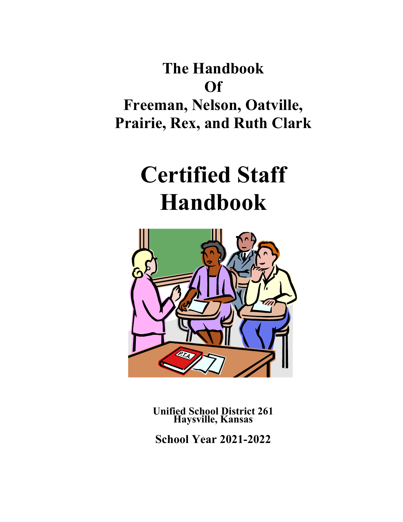**The Handbook Of Freeman, Nelson, Oatville, Prairie, Rex, and Ruth Clark**

# **Certified Staff Handbook**



**Unified School District 261 Haysville, Kansas**

**School Year 2021-2022**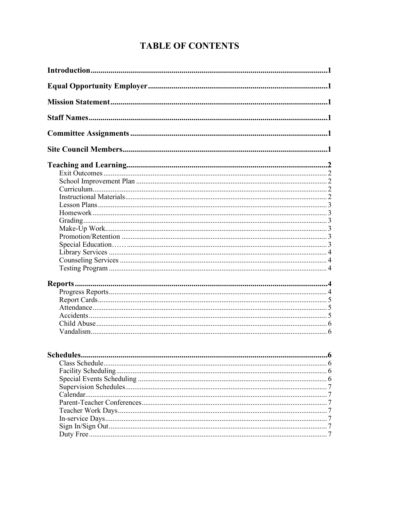## **TABLE OF CONTENTS**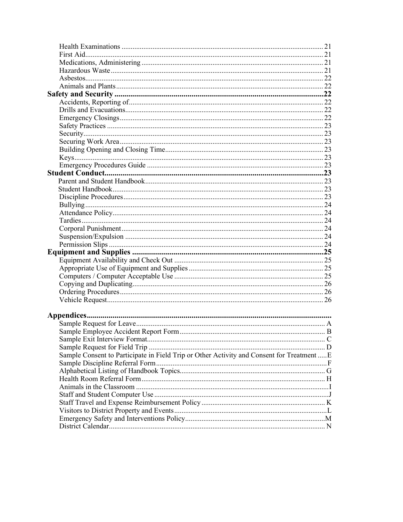| Sample Consent to Participate in Field Trip or Other Activity and Consent for Treatment  E |  |
|--------------------------------------------------------------------------------------------|--|
|                                                                                            |  |
|                                                                                            |  |
|                                                                                            |  |
|                                                                                            |  |
|                                                                                            |  |
|                                                                                            |  |
|                                                                                            |  |
|                                                                                            |  |
|                                                                                            |  |
|                                                                                            |  |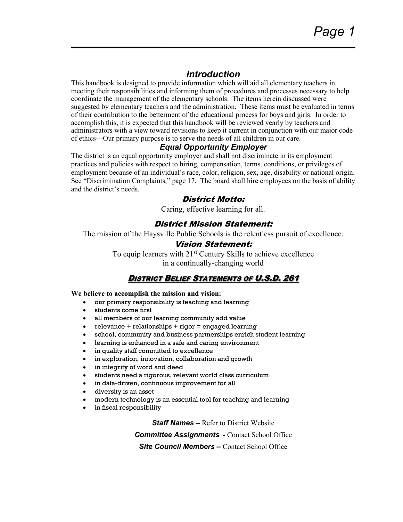## *Introduction*

This handbook is designed to provide information which will aid all elementary teachers in meeting their responsibilities and informing them of procedures and processes necessary to help coordinate the management of the elementary schools. The items herein discussed were suggested by elementary teachers and the administration. These items must be evaluated in terms of their contribution to the betterment of the educational process for boys and girls. In order to accomplish this, it is expected that this handbook will be reviewed yearly by teachers and administrators with a view toward revisions to keep it current in conjunction with our major code of ethics---Our primary purpose is to serve the needs of all children in our care.

#### *Equal Opportunity Employer*

The district is an equal opportunity employer and shall not discriminate in its employment practices and policies with respect to hiring, compensation, terms, conditions, or privileges of employment because of an individual's race, color, religion, sex, age, disability or national origin. See "Discrimination Complaints," page 17. The board shall hire employees on the basis of ability and the district's needs.

#### District Motto:

Caring, effective learning for all.

#### District Mission Statement:

The mission of the Haysville Public Schools is the relentless pursuit of excellence.

#### Vision Statement:

To equip learners with 21<sup>st</sup> Century Skills to achieve excellence in a continually-changing world

### DISTRICT BELIEF STATEMENTS OF U.S.D. 261

**We believe to accomplish the mission and vision:**

- our primary responsibility is teaching and learning
- students come first
- all members of our learning community add value
- $\bullet$  relevance + relationships + rigor = engaged learning
- school, community and business partnerships enrich student learning
- learning is enhanced in a safe and caring environment
- in quality staff committed to excellence
- in exploration, innovation, collaboration and growth
- in integrity of word and deed
- students need a rigorous, relevant world class curriculum
- in data-driven, continuous improvement for all
- diversity is an asset
- modern technology is an essential tool for teaching and learning
- in fiscal responsibility

*Staff Names –* Refer to District Website

*Committee Assignments* - Contact School Office

*Site Council Members –* Contact School Office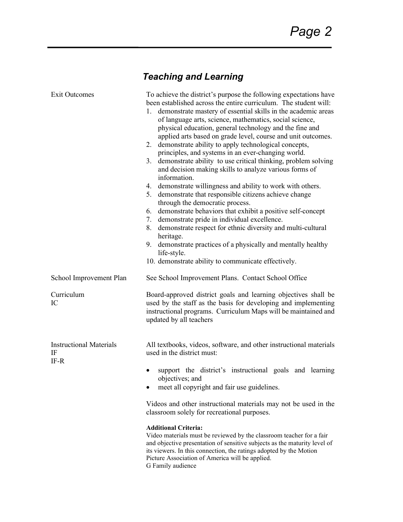# *Teaching and Learning*

| <b>Exit Outcomes</b>                           | To achieve the district's purpose the following expectations have<br>been established across the entire curriculum. The student will:<br>1. demonstrate mastery of essential skills in the academic areas<br>of language arts, science, mathematics, social science,<br>physical education, general technology and the fine and<br>applied arts based on grade level, course and unit outcomes.<br>demonstrate ability to apply technological concepts,<br>2.<br>principles, and systems in an ever-changing world.<br>3. demonstrate ability to use critical thinking, problem solving<br>and decision making skills to analyze various forms of<br>information.<br>4. demonstrate willingness and ability to work with others.<br>5. demonstrate that responsible citizens achieve change<br>through the democratic process.<br>demonstrate behaviors that exhibit a positive self-concept<br>6.<br>demonstrate pride in individual excellence.<br>7.<br>demonstrate respect for ethnic diversity and multi-cultural<br>8.<br>heritage.<br>9. demonstrate practices of a physically and mentally healthy<br>life-style. |
|------------------------------------------------|---------------------------------------------------------------------------------------------------------------------------------------------------------------------------------------------------------------------------------------------------------------------------------------------------------------------------------------------------------------------------------------------------------------------------------------------------------------------------------------------------------------------------------------------------------------------------------------------------------------------------------------------------------------------------------------------------------------------------------------------------------------------------------------------------------------------------------------------------------------------------------------------------------------------------------------------------------------------------------------------------------------------------------------------------------------------------------------------------------------------------|
|                                                | 10. demonstrate ability to communicate effectively.                                                                                                                                                                                                                                                                                                                                                                                                                                                                                                                                                                                                                                                                                                                                                                                                                                                                                                                                                                                                                                                                       |
| School Improvement Plan                        | See School Improvement Plans. Contact School Office                                                                                                                                                                                                                                                                                                                                                                                                                                                                                                                                                                                                                                                                                                                                                                                                                                                                                                                                                                                                                                                                       |
| Curriculum<br>IC                               | Board-approved district goals and learning objectives shall be<br>used by the staff as the basis for developing and implementing<br>instructional programs. Curriculum Maps will be maintained and<br>updated by all teachers                                                                                                                                                                                                                                                                                                                                                                                                                                                                                                                                                                                                                                                                                                                                                                                                                                                                                             |
| <b>Instructional Materials</b><br>IF<br>$IF-R$ | All textbooks, videos, software, and other instructional materials<br>used in the district must:                                                                                                                                                                                                                                                                                                                                                                                                                                                                                                                                                                                                                                                                                                                                                                                                                                                                                                                                                                                                                          |
|                                                | support the district's instructional goals and learning<br>objectives; and<br>meet all copyright and fair use guidelines.                                                                                                                                                                                                                                                                                                                                                                                                                                                                                                                                                                                                                                                                                                                                                                                                                                                                                                                                                                                                 |
|                                                | Videos and other instructional materials may not be used in the<br>classroom solely for recreational purposes.                                                                                                                                                                                                                                                                                                                                                                                                                                                                                                                                                                                                                                                                                                                                                                                                                                                                                                                                                                                                            |
|                                                | <b>Additional Criteria:</b><br>Video materials must be reviewed by the classroom teacher for a fair<br>and objective presentation of sensitive subjects as the maturity level of<br>its viewers. In this connection, the ratings adopted by the Motion<br>Picture Association of America will be applied.                                                                                                                                                                                                                                                                                                                                                                                                                                                                                                                                                                                                                                                                                                                                                                                                                 |

G Family audience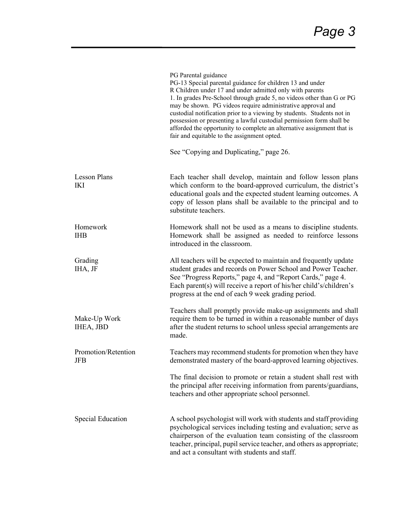|                                   | PG Parental guidance<br>PG-13 Special parental guidance for children 13 and under<br>R Children under 17 and under admitted only with parents<br>1. In grades Pre-School through grade 5, no videos other than G or PG<br>may be shown. PG videos require administrative approval and<br>custodial notification prior to a viewing by students. Students not in<br>possession or presenting a lawful custodial permission form shall be<br>afforded the opportunity to complete an alternative assignment that is<br>fair and equitable to the assignment opted. |
|-----------------------------------|------------------------------------------------------------------------------------------------------------------------------------------------------------------------------------------------------------------------------------------------------------------------------------------------------------------------------------------------------------------------------------------------------------------------------------------------------------------------------------------------------------------------------------------------------------------|
|                                   | See "Copying and Duplicating," page 26.                                                                                                                                                                                                                                                                                                                                                                                                                                                                                                                          |
| <b>Lesson Plans</b><br><b>IKI</b> | Each teacher shall develop, maintain and follow lesson plans<br>which conform to the board-approved curriculum, the district's<br>educational goals and the expected student learning outcomes. A<br>copy of lesson plans shall be available to the principal and to<br>substitute teachers.                                                                                                                                                                                                                                                                     |
| Homework<br><b>IHB</b>            | Homework shall not be used as a means to discipline students.<br>Homework shall be assigned as needed to reinforce lessons<br>introduced in the classroom.                                                                                                                                                                                                                                                                                                                                                                                                       |
| Grading<br>IHA, JF                | All teachers will be expected to maintain and frequently update<br>student grades and records on Power School and Power Teacher.<br>See "Progress Reports," page 4, and "Report Cards," page 4.<br>Each parent(s) will receive a report of his/her child's/children's<br>progress at the end of each 9 week grading period.                                                                                                                                                                                                                                      |
| Make-Up Work<br>IHEA, JBD         | Teachers shall promptly provide make-up assignments and shall<br>require them to be turned in within a reasonable number of days<br>after the student returns to school unless special arrangements are<br>made.                                                                                                                                                                                                                                                                                                                                                 |
| Promotion/Retention<br><b>JFB</b> | Teachers may recommend students for promotion when they have<br>demonstrated mastery of the board-approved learning objectives.                                                                                                                                                                                                                                                                                                                                                                                                                                  |
|                                   | The final decision to promote or retain a student shall rest with<br>the principal after receiving information from parents/guardians,<br>teachers and other appropriate school personnel.                                                                                                                                                                                                                                                                                                                                                                       |
| <b>Special Education</b>          | A school psychologist will work with students and staff providing<br>psychological services including testing and evaluation; serve as<br>chairperson of the evaluation team consisting of the classroom<br>teacher, principal, pupil service teacher, and others as appropriate;<br>and act a consultant with students and staff.                                                                                                                                                                                                                               |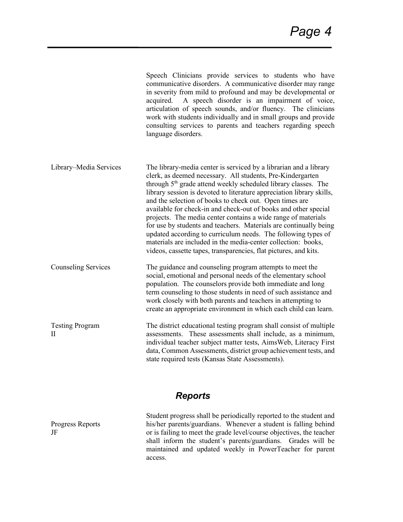|                                        | Speech Clinicians provide services to students who have<br>communicative disorders. A communicative disorder may range<br>in severity from mild to profound and may be developmental or<br>A speech disorder is an impairment of voice,<br>acquired.<br>articulation of speech sounds, and/or fluency. The clinicians<br>work with students individually and in small groups and provide<br>consulting services to parents and teachers regarding speech<br>language disorders.                                                                                                                                                                                                                                                                                  |
|----------------------------------------|------------------------------------------------------------------------------------------------------------------------------------------------------------------------------------------------------------------------------------------------------------------------------------------------------------------------------------------------------------------------------------------------------------------------------------------------------------------------------------------------------------------------------------------------------------------------------------------------------------------------------------------------------------------------------------------------------------------------------------------------------------------|
| Library-Media Services                 | The library-media center is serviced by a librarian and a library<br>clerk, as deemed necessary. All students, Pre-Kindergarten<br>through 5 <sup>th</sup> grade attend weekly scheduled library classes. The<br>library session is devoted to literature appreciation library skills,<br>and the selection of books to check out. Open times are<br>available for check-in and check-out of books and other special<br>projects. The media center contains a wide range of materials<br>for use by students and teachers. Materials are continually being<br>updated according to curriculum needs. The following types of<br>materials are included in the media-center collection: books,<br>videos, cassette tapes, transparencies, flat pictures, and kits. |
| <b>Counseling Services</b>             | The guidance and counseling program attempts to meet the<br>social, emotional and personal needs of the elementary school<br>population. The counselors provide both immediate and long<br>term counseling to those students in need of such assistance and<br>work closely with both parents and teachers in attempting to<br>create an appropriate environment in which each child can learn.                                                                                                                                                                                                                                                                                                                                                                  |
| <b>Testing Program</b><br>$\mathbf{I}$ | The district educational testing program shall consist of multiple<br>assessments. These assessments shall include, as a minimum,<br>individual teacher subject matter tests, AimsWeb, Literacy First<br>data, Common Assessments, district group achievement tests, and<br>state required tests (Kansas State Assessments).                                                                                                                                                                                                                                                                                                                                                                                                                                     |

## *Reports*

Progress Reports JF

Student progress shall be periodically reported to the student and his/her parents/guardians. Whenever a student is falling behind or is failing to meet the grade level/course objectives, the teacher shall inform the student's parents/guardians. Grades will be maintained and updated weekly in PowerTeacher for parent access.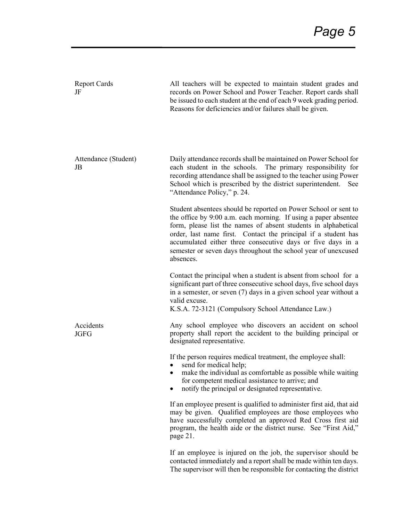| <b>Report Cards</b><br>JF  | All teachers will be expected to maintain student grades and<br>records on Power School and Power Teacher. Report cards shall<br>be issued to each student at the end of each 9 week grading period.<br>Reasons for deficiencies and/or failures shall be given.                                                                                                                                                     |
|----------------------------|----------------------------------------------------------------------------------------------------------------------------------------------------------------------------------------------------------------------------------------------------------------------------------------------------------------------------------------------------------------------------------------------------------------------|
| Attendance (Student)<br>JB | Daily attendance records shall be maintained on Power School for<br>each student in the schools.<br>The primary responsibility for<br>recording attendance shall be assigned to the teacher using Power<br>School which is prescribed by the district superintendent.<br>See<br>"Attendance Policy," p. 24.                                                                                                          |
|                            | Student absentees should be reported on Power School or sent to<br>the office by 9:00 a.m. each morning. If using a paper absentee<br>form, please list the names of absent students in alphabetical<br>order, last name first. Contact the principal if a student has<br>accumulated either three consecutive days or five days in a<br>semester or seven days throughout the school year of unexcused<br>absences. |
|                            | Contact the principal when a student is absent from school for a<br>significant part of three consecutive school days, five school days<br>in a semester, or seven (7) days in a given school year without a<br>valid excuse.<br>K.S.A. 72-3121 (Compulsory School Attendance Law.)                                                                                                                                  |
| Accidents<br><b>JGFG</b>   | Any school employee who discovers an accident on school<br>property shall report the accident to the building principal or<br>designated representative.                                                                                                                                                                                                                                                             |
|                            | If the person requires medical treatment, the employee shall:<br>send for medical help;<br>make the individual as comfortable as possible while waiting<br>for competent medical assistance to arrive; and<br>notify the principal or designated representative.                                                                                                                                                     |
|                            | If an employee present is qualified to administer first aid, that aid<br>may be given. Qualified employees are those employees who<br>have successfully completed an approved Red Cross first aid<br>program, the health aide or the district nurse. See "First Aid,"<br>page 21.                                                                                                                                    |
|                            | If an employee is injured on the job, the supervisor should be<br>contacted immediately and a report shall be made within ten days.<br>The supervisor will then be responsible for contacting the district                                                                                                                                                                                                           |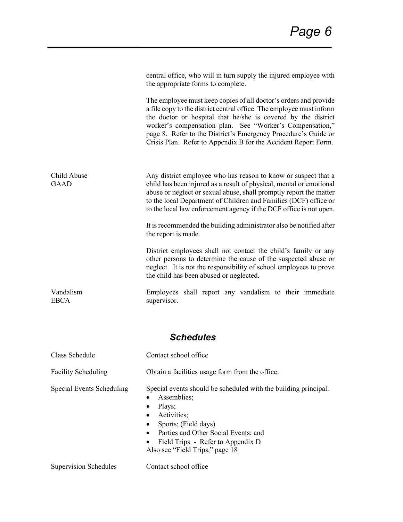|                                  | central office, who will in turn supply the injured employee with<br>the appropriate forms to complete.                                                                                                                                                                                                                                                                                                   |
|----------------------------------|-----------------------------------------------------------------------------------------------------------------------------------------------------------------------------------------------------------------------------------------------------------------------------------------------------------------------------------------------------------------------------------------------------------|
|                                  | The employee must keep copies of all doctor's orders and provide<br>a file copy to the district central office. The employee must inform<br>the doctor or hospital that he/she is covered by the district<br>worker's compensation plan. See "Worker's Compensation,"<br>page 8. Refer to the District's Emergency Procedure's Guide or<br>Crisis Plan. Refer to Appendix B for the Accident Report Form. |
| Child Abuse<br><b>GAAD</b>       | Any district employee who has reason to know or suspect that a<br>child has been injured as a result of physical, mental or emotional<br>abuse or neglect or sexual abuse, shall promptly report the matter<br>to the local Department of Children and Families (DCF) office or<br>to the local law enforcement agency if the DCF office is not open.                                                     |
|                                  | It is recommended the building administrator also be notified after<br>the report is made.                                                                                                                                                                                                                                                                                                                |
|                                  | District employees shall not contact the child's family or any<br>other persons to determine the cause of the suspected abuse or<br>neglect. It is not the responsibility of school employees to prove<br>the child has been abused or neglected.                                                                                                                                                         |
| Vandalism<br><b>EBCA</b>         | Employees shall report any vandalism to their immediate<br>supervisor.                                                                                                                                                                                                                                                                                                                                    |
|                                  | <b>Schedules</b>                                                                                                                                                                                                                                                                                                                                                                                          |
| Class Schedule                   | Contact school office                                                                                                                                                                                                                                                                                                                                                                                     |
|                                  |                                                                                                                                                                                                                                                                                                                                                                                                           |
| <b>Facility Scheduling</b>       | Obtain a facilities usage form from the office.                                                                                                                                                                                                                                                                                                                                                           |
| <b>Special Events Scheduling</b> | Special events should be scheduled with the building principal.<br>Assemblies;<br>Plays;<br>Activities;<br>Sports; (Field days)<br>Parties and Other Social Events; and<br>Field Trips - Refer to Appendix D<br>Also see "Field Trips," page 18                                                                                                                                                           |

Supervision Schedules Contact school office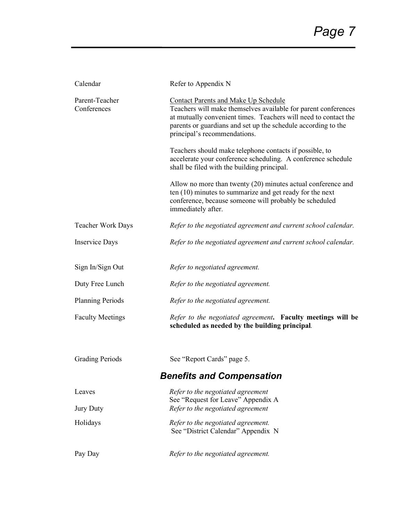| Calendar                         | Refer to Appendix N                                                                                                                                                                                                                                                               |
|----------------------------------|-----------------------------------------------------------------------------------------------------------------------------------------------------------------------------------------------------------------------------------------------------------------------------------|
| Parent-Teacher<br>Conferences    | <b>Contact Parents and Make Up Schedule</b><br>Teachers will make themselves available for parent conferences<br>at mutually convenient times. Teachers will need to contact the<br>parents or guardians and set up the schedule according to the<br>principal's recommendations. |
|                                  | Teachers should make telephone contacts if possible, to<br>accelerate your conference scheduling. A conference schedule<br>shall be filed with the building principal.                                                                                                            |
|                                  | Allow no more than twenty $(20)$ minutes actual conference and<br>ten $(10)$ minutes to summarize and get ready for the next<br>conference, because someone will probably be scheduled<br>immediately after.                                                                      |
| <b>Teacher Work Days</b>         | Refer to the negotiated agreement and current school calendar.                                                                                                                                                                                                                    |
| <b>Inservice Days</b>            | Refer to the negotiated agreement and current school calendar.                                                                                                                                                                                                                    |
| Sign In/Sign Out                 | Refer to negotiated agreement.                                                                                                                                                                                                                                                    |
| Duty Free Lunch                  | Refer to the negotiated agreement.                                                                                                                                                                                                                                                |
| <b>Planning Periods</b>          | Refer to the negotiated agreement.                                                                                                                                                                                                                                                |
| <b>Faculty Meetings</b>          | Refer to the negotiated agreement. Faculty meetings will be<br>scheduled as needed by the building principal.                                                                                                                                                                     |
| <b>Grading Periods</b>           | See "Report Cards" page 5.                                                                                                                                                                                                                                                        |
| <b>Benefits and Compensation</b> |                                                                                                                                                                                                                                                                                   |
| Leaves                           | Refer to the negotiated agreement<br>See "Request for Leave" Appendix A                                                                                                                                                                                                           |
| <b>Jury Duty</b>                 | Refer to the negotiated agreement                                                                                                                                                                                                                                                 |
| Holidays                         | Refer to the negotiated agreement.<br>See "District Calendar" Appendix N                                                                                                                                                                                                          |
| Pay Day                          | Refer to the negotiated agreement.                                                                                                                                                                                                                                                |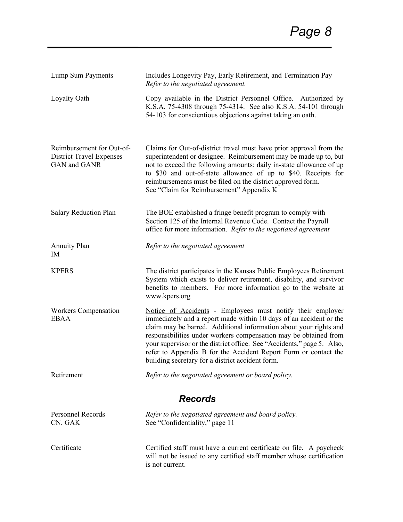| Lump Sum Payments                                                            | Includes Longevity Pay, Early Retirement, and Termination Pay<br>Refer to the negotiated agreement.                                                                                                                                                                                                                                                                                                                                                                        |
|------------------------------------------------------------------------------|----------------------------------------------------------------------------------------------------------------------------------------------------------------------------------------------------------------------------------------------------------------------------------------------------------------------------------------------------------------------------------------------------------------------------------------------------------------------------|
| Loyalty Oath                                                                 | Copy available in the District Personnel Office. Authorized by<br>K.S.A. 75-4308 through 75-4314. See also K.S.A. 54-101 through<br>54-103 for conscientious objections against taking an oath.                                                                                                                                                                                                                                                                            |
| Reimbursement for Out-of-<br><b>District Travel Expenses</b><br>GAN and GANR | Claims for Out-of-district travel must have prior approval from the<br>superintendent or designee. Reimbursement may be made up to, but<br>not to exceed the following amounts: daily in-state allowance of up<br>to \$30 and out-of-state allowance of up to \$40. Receipts for<br>reimbursements must be filed on the district approved form.<br>See "Claim for Reimbursement" Appendix K                                                                                |
| Salary Reduction Plan                                                        | The BOE established a fringe benefit program to comply with<br>Section 125 of the Internal Revenue Code. Contact the Payroll<br>office for more information. Refer to the negotiated agreement                                                                                                                                                                                                                                                                             |
| <b>Annuity Plan</b><br>IM                                                    | Refer to the negotiated agreement                                                                                                                                                                                                                                                                                                                                                                                                                                          |
| <b>KPERS</b>                                                                 | The district participates in the Kansas Public Employees Retirement<br>System which exists to deliver retirement, disability, and survivor<br>benefits to members. For more information go to the website at<br>www.kpers.org                                                                                                                                                                                                                                              |
| <b>Workers Compensation</b><br><b>EBAA</b>                                   | Notice of Accidents - Employees must notify their employer<br>immediately and a report made within 10 days of an accident or the<br>claim may be barred. Additional information about your rights and<br>responsibilities under workers compensation may be obtained from<br>your supervisor or the district office. See "Accidents," page 5. Also,<br>refer to Appendix B for the Accident Report Form or contact the<br>building secretary for a district accident form. |
| Retirement                                                                   | Refer to the negotiated agreement or board policy.                                                                                                                                                                                                                                                                                                                                                                                                                         |
| <b>Records</b>                                                               |                                                                                                                                                                                                                                                                                                                                                                                                                                                                            |
| <b>Personnel Records</b><br>CN, GAK                                          | Refer to the negotiated agreement and board policy.<br>See "Confidentiality," page 11                                                                                                                                                                                                                                                                                                                                                                                      |
| Certificate                                                                  | Certified staff must have a current certificate on file. A paycheck<br>will not be issued to any certified staff member whose certification<br>is not current.                                                                                                                                                                                                                                                                                                             |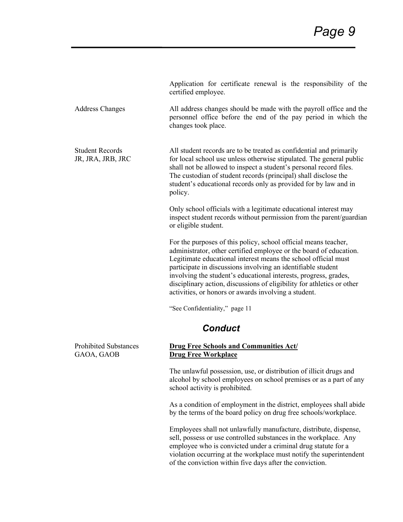|                                             | Application for certificate renewal is the responsibility of the<br>certified employee.                                                                                                                                                                                                                                                                                                                                                                                       |  |
|---------------------------------------------|-------------------------------------------------------------------------------------------------------------------------------------------------------------------------------------------------------------------------------------------------------------------------------------------------------------------------------------------------------------------------------------------------------------------------------------------------------------------------------|--|
| <b>Address Changes</b>                      | All address changes should be made with the payroll office and the<br>personnel office before the end of the pay period in which the<br>changes took place.                                                                                                                                                                                                                                                                                                                   |  |
| <b>Student Records</b><br>JR, JRA, JRB, JRC | All student records are to be treated as confidential and primarily<br>for local school use unless otherwise stipulated. The general public<br>shall not be allowed to inspect a student's personal record files.<br>The custodian of student records (principal) shall disclose the<br>student's educational records only as provided for by law and in<br>policy.                                                                                                           |  |
|                                             | Only school officials with a legitimate educational interest may<br>inspect student records without permission from the parent/guardian<br>or eligible student.                                                                                                                                                                                                                                                                                                               |  |
|                                             | For the purposes of this policy, school official means teacher,<br>administrator, other certified employee or the board of education.<br>Legitimate educational interest means the school official must<br>participate in discussions involving an identifiable student<br>involving the student's educational interests, progress, grades,<br>disciplinary action, discussions of eligibility for athletics or other<br>activities, or honors or awards involving a student. |  |
|                                             | "See Confidentiality," page 11                                                                                                                                                                                                                                                                                                                                                                                                                                                |  |
| <b>Conduct</b>                              |                                                                                                                                                                                                                                                                                                                                                                                                                                                                               |  |
| <b>Prohibited Substances</b><br>GAOA, GAOB  | <b>Drug Free Schools and Communities Act/</b><br><b>Drug Free Workplace</b>                                                                                                                                                                                                                                                                                                                                                                                                   |  |
|                                             | The unlawful possession, use, or distribution of illicit drugs and<br>alcohol by school employees on school premises or as a part of any<br>school activity is prohibited.                                                                                                                                                                                                                                                                                                    |  |
|                                             | As a condition of employment in the district, employees shall abide<br>by the terms of the board policy on drug free schools/workplace.                                                                                                                                                                                                                                                                                                                                       |  |
|                                             | Employees shall not unlawfully manufacture, distribute, dispense,<br>research control controlled pulater and in the recorded are                                                                                                                                                                                                                                                                                                                                              |  |

sell, possess or use controlled substances in the workplace. Any employee who is convicted under a criminal drug statute for a violation occurring at the workplace must notify the superintendent of the conviction within five days after the conviction.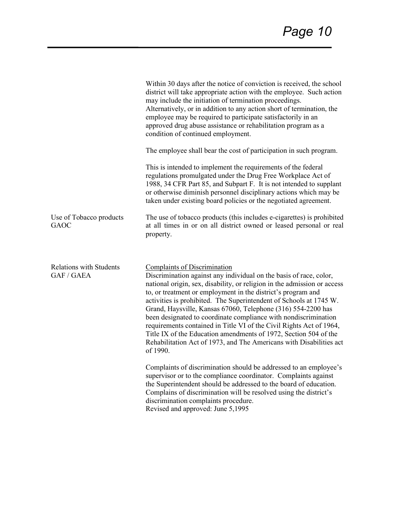|                                              | Within 30 days after the notice of conviction is received, the school<br>district will take appropriate action with the employee. Such action<br>may include the initiation of termination proceedings.<br>Alternatively, or in addition to any action short of termination, the<br>employee may be required to participate satisfactorily in an<br>approved drug abuse assistance or rehabilitation program as a<br>condition of continued employment.<br>The employee shall bear the cost of participation in such program.<br>This is intended to implement the requirements of the federal<br>regulations promulgated under the Drug Free Workplace Act of<br>1988, 34 CFR Part 85, and Subpart F. It is not intended to supplant<br>or otherwise diminish personnel disciplinary actions which may be<br>taken under existing board policies or the negotiated agreement.                                                                                                                                                                              |
|----------------------------------------------|-------------------------------------------------------------------------------------------------------------------------------------------------------------------------------------------------------------------------------------------------------------------------------------------------------------------------------------------------------------------------------------------------------------------------------------------------------------------------------------------------------------------------------------------------------------------------------------------------------------------------------------------------------------------------------------------------------------------------------------------------------------------------------------------------------------------------------------------------------------------------------------------------------------------------------------------------------------------------------------------------------------------------------------------------------------|
| Use of Tobacco products<br><b>GAOC</b>       | The use of tobacco products (this includes e-cigarettes) is prohibited<br>at all times in or on all district owned or leased personal or real<br>property.                                                                                                                                                                                                                                                                                                                                                                                                                                                                                                                                                                                                                                                                                                                                                                                                                                                                                                  |
| <b>Relations with Students</b><br>GAF / GAEA | <b>Complaints of Discrimination</b><br>Discrimination against any individual on the basis of race, color,<br>national origin, sex, disability, or religion in the admission or access<br>to, or treatment or employment in the district's program and<br>activities is prohibited. The Superintendent of Schools at 1745 W.<br>Grand, Haysville, Kansas 67060, Telephone (316) 554-2200 has<br>been designated to coordinate compliance with nondiscrimination<br>requirements contained in Title VI of the Civil Rights Act of 1964,<br>Title IX of the Education amendments of 1972, Section 504 of the<br>Rehabilitation Act of 1973, and The Americans with Disabilities act<br>of 1990.<br>Complaints of discrimination should be addressed to an employee's<br>supervisor or to the compliance coordinator. Complaints against<br>the Superintendent should be addressed to the board of education.<br>Complains of discrimination will be resolved using the district's<br>discrimination complaints procedure.<br>Revised and approved: June 5,1995 |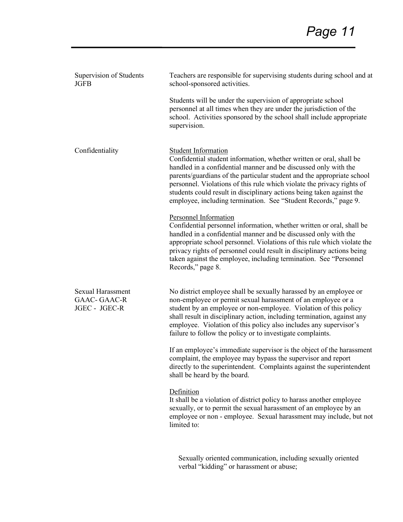| Supervision of Students<br><b>JGFB</b>                          | Teachers are responsible for supervising students during school and at<br>school-sponsored activities.                                                                                                                                                                                                                                                                                                                                                        |
|-----------------------------------------------------------------|---------------------------------------------------------------------------------------------------------------------------------------------------------------------------------------------------------------------------------------------------------------------------------------------------------------------------------------------------------------------------------------------------------------------------------------------------------------|
|                                                                 | Students will be under the supervision of appropriate school<br>personnel at all times when they are under the jurisdiction of the<br>school. Activities sponsored by the school shall include appropriate<br>supervision.                                                                                                                                                                                                                                    |
| Confidentiality                                                 | Student Information<br>Confidential student information, whether written or oral, shall be<br>handled in a confidential manner and be discussed only with the<br>parents/guardians of the particular student and the appropriate school<br>personnel. Violations of this rule which violate the privacy rights of<br>students could result in disciplinary actions being taken against the<br>employee, including termination. See "Student Records," page 9. |
|                                                                 | <b>Personnel Information</b><br>Confidential personnel information, whether written or oral, shall be<br>handled in a confidential manner and be discussed only with the<br>appropriate school personnel. Violations of this rule which violate the<br>privacy rights of personnel could result in disciplinary actions being<br>taken against the employee, including termination. See "Personnel<br>Records," page 8.                                       |
| <b>Sexual Harassment</b><br><b>GAAC-GAAC-R</b><br>JGEC - JGEC-R | No district employee shall be sexually harassed by an employee or<br>non-employee or permit sexual harassment of an employee or a<br>student by an employee or non-employee. Violation of this policy<br>shall result in disciplinary action, including termination, against any<br>employee. Violation of this policy also includes any supervisor's<br>failure to follow the policy or to investigate complaints.                                           |
|                                                                 | If an employee's immediate supervisor is the object of the harassment<br>complaint, the employee may bypass the supervisor and report<br>directly to the superintendent. Complaints against the superintendent<br>shall be heard by the board.                                                                                                                                                                                                                |
|                                                                 | Definition<br>It shall be a violation of district policy to harass another employee<br>sexually, or to permit the sexual harassment of an employee by an<br>employee or non - employee. Sexual harassment may include, but not<br>limited to:                                                                                                                                                                                                                 |
|                                                                 |                                                                                                                                                                                                                                                                                                                                                                                                                                                               |

 Sexually oriented communication, including sexually oriented verbal "kidding" or harassment or abuse;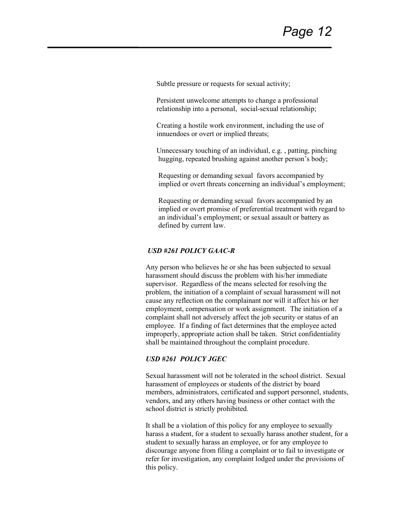Subtle pressure or requests for sexual activity;

 Persistent unwelcome attempts to change a professional relationship into a personal, social-sexual relationship;

 Creating a hostile work environment, including the use of innuendoes or overt or implied threats;

 Unnecessary touching of an individual, e.g. , patting, pinching hugging, repeated brushing against another person's body;

 Requesting or demanding sexual favors accompanied by implied or overt threats concerning an individual's employment;

 Requesting or demanding sexual favors accompanied by an implied or overt promise of preferential treatment with regard to an individual's employment; or sexual assault or battery as defined by current law.

#### *USD #261 POLICY GAAC-R*

Any person who believes he or she has been subjected to sexual harassment should discuss the problem with his/her immediate supervisor. Regardless of the means selected for resolving the problem, the initiation of a complaint of sexual harassment will not cause any reflection on the complainant nor will it affect his or her employment, compensation or work assignment. The initiation of a complaint shall not adversely affect the job security or status of an employee. If a finding of fact determines that the employee acted improperly, appropriate action shall be taken. Strict confidentiality shall be maintained throughout the complaint procedure.

#### *USD #261 POLICY JGEC*

Sexual harassment will not be tolerated in the school district. Sexual harassment of employees or students of the district by board members, administrators, certificated and support personnel, students, vendors, and any others having business or other contact with the school district is strictly prohibited.

It shall be a violation of this policy for any employee to sexually harass a student, for a student to sexually harass another student, for a student to sexually harass an employee, or for any employee to discourage anyone from filing a complaint or to fail to investigate or refer for investigation, any complaint lodged under the provisions of this policy.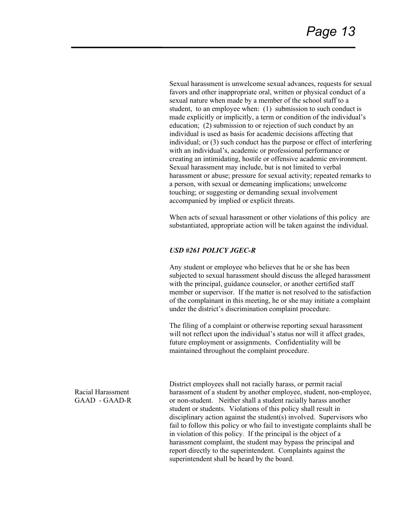Sexual harassment is unwelcome sexual advances, requests for sexual favors and other inappropriate oral, written or physical conduct of a sexual nature when made by a member of the school staff to a student, to an employee when: (1) submission to such conduct is made explicitly or implicitly, a term or condition of the individual's education; (2) submission to or rejection of such conduct by an individual is used as basis for academic decisions affecting that individual; or (3) such conduct has the purpose or effect of interfering with an individual's, academic or professional performance or creating an intimidating, hostile or offensive academic environment. Sexual harassment may include, but is not limited to verbal harassment or abuse; pressure for sexual activity; repeated remarks to a person, with sexual or demeaning implications; unwelcome touching; or suggesting or demanding sexual involvement accompanied by implied or explicit threats.

When acts of sexual harassment or other violations of this policy are substantiated, appropriate action will be taken against the individual.

#### *USD #261 POLICY JGEC-R*

Any student or employee who believes that he or she has been subjected to sexual harassment should discuss the alleged harassment with the principal, guidance counselor, or another certified staff member or supervisor. If the matter is not resolved to the satisfaction of the complainant in this meeting, he or she may initiate a complaint under the district's discrimination complaint procedure.

The filing of a complaint or otherwise reporting sexual harassment will not reflect upon the individual's status nor will it affect grades, future employment or assignments. Confidentiality will be maintained throughout the complaint procedure.

Racial Harassment GAAD - GAAD-R District employees shall not racially harass, or permit racial harassment of a student by another employee, student, non-employee, or non-student. Neither shall a student racially harass another student or students. Violations of this policy shall result in disciplinary action against the student(s) involved. Supervisors who fail to follow this policy or who fail to investigate complaints shall be in violation of this policy. If the principal is the object of a harassment complaint, the student may bypass the principal and report directly to the superintendent. Complaints against the superintendent shall be heard by the board.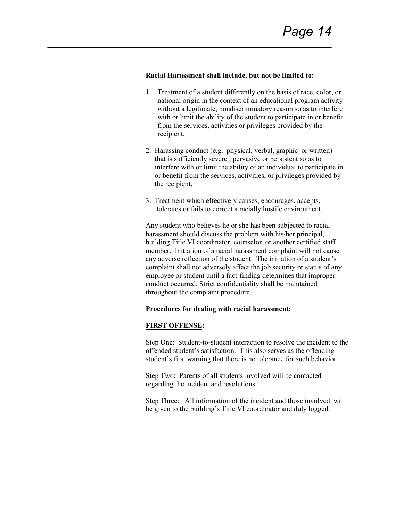#### **Racial Harassment shall include, but not be limited to:**

- 1. Treatment of a student differently on the basis of race, color, or national origin in the context of an educational program activity without a legitimate, nondiscriminatory reason so as to interfere with or limit the ability of the student to participate in or benefit from the services, activities or privileges provided by the recipient.
- 2. Harassing conduct (e.g. physical, verbal, graphic or written) that is sufficiently severe , pervasive or persistent so as to interfere with or limit the ability of an individual to participate in or benefit from the services, activities, or privileges provided by the recipient.
- 3. Treatment which effectively causes, encourages, accepts, tolerates or fails to correct a racially hostile environment.

Any student who believes he or she has been subjected to racial harassment should discuss the problem with his/her principal, building Title VI coordinator, counselor, or another certified staff member. Initiation of a racial harassment complaint will not cause any adverse reflection of the student. The initiation of a student's complaint shall not adversely affect the job security or status of any employee or student until a fact-finding determines that improper conduct occurred. Strict confidentiality shall be maintained throughout the complaint procedure.

#### **Procedures for dealing with racial harassment:**

#### **FIRST OFFENSE:**

Step One: Student-to-student interaction to resolve the incident to the offended student's satisfaction. This also serves as the offending student's first warning that there is no tolerance for such behavior.

Step Two: Parents of all students involved will be contacted regarding the incident and resolutions.

Step Three: All information of the incident and those involved will be given to the building's Title VI coordinator and duly logged.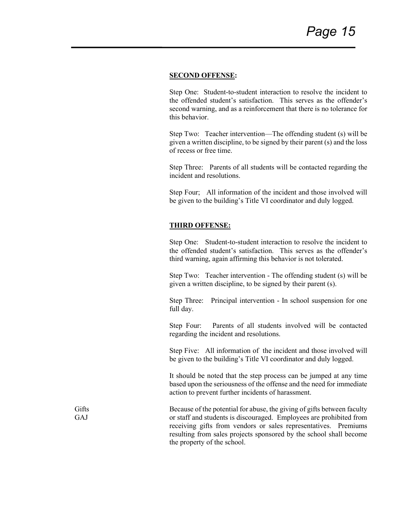#### **SECOND OFFENSE:**

Step One: Student-to-student interaction to resolve the incident to the offended student's satisfaction. This serves as the offender's second warning, and as a reinforcement that there is no tolerance for this behavior.

Step Two: Teacher intervention—The offending student (s) will be given a written discipline, to be signed by their parent (s) and the loss of recess or free time.

Step Three: Parents of all students will be contacted regarding the incident and resolutions.

Step Four; All information of the incident and those involved will be given to the building's Title VI coordinator and duly logged.

#### **THIRD OFFENSE:**

Step One: Student-to-student interaction to resolve the incident to the offended student's satisfaction. This serves as the offender's third warning, again affirming this behavior is not tolerated.

Step Two: Teacher intervention - The offending student (s) will be given a written discipline, to be signed by their parent (s).

Step Three: Principal intervention - In school suspension for one full day.

Step Four: Parents of all students involved will be contacted regarding the incident and resolutions.

Step Five: All information of the incident and those involved will be given to the building's Title VI coordinator and duly logged.

It should be noted that the step process can be jumped at any time based upon the seriousness of the offense and the need for immediate action to prevent further incidents of harassment.

Because of the potential for abuse, the giving of gifts between faculty or staff and students is discouraged. Employees are prohibited from receiving gifts from vendors or sales representatives. Premiums resulting from sales projects sponsored by the school shall become the property of the school.

**Gifts** GAJ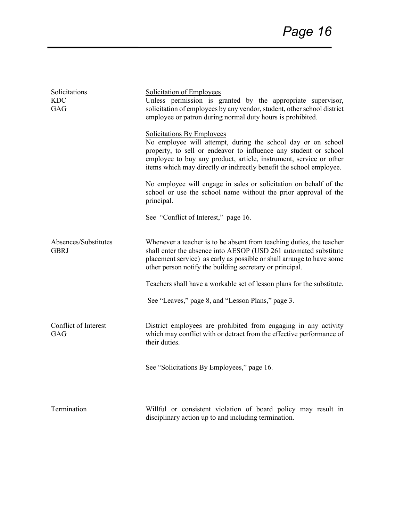| Solicitations<br>KDC<br><b>GAG</b>  | Solicitation of Employees<br>Unless permission is granted by the appropriate supervisor,<br>solicitation of employees by any vendor, student, other school district<br>employee or patron during normal duty hours is prohibited.<br><b>Solicitations By Employees</b>        |
|-------------------------------------|-------------------------------------------------------------------------------------------------------------------------------------------------------------------------------------------------------------------------------------------------------------------------------|
|                                     | No employee will attempt, during the school day or on school<br>property, to sell or endeavor to influence any student or school<br>employee to buy any product, article, instrument, service or other<br>items which may directly or indirectly benefit the school employee. |
|                                     | No employee will engage in sales or solicitation on behalf of the<br>school or use the school name without the prior approval of the<br>principal.                                                                                                                            |
|                                     | See "Conflict of Interest," page 16.                                                                                                                                                                                                                                          |
| Absences/Substitutes<br><b>GBRJ</b> | Whenever a teacher is to be absent from teaching duties, the teacher<br>shall enter the absence into AESOP (USD 261 automated substitute<br>placement service) as early as possible or shall arrange to have some<br>other person notify the building secretary or principal. |
|                                     | Teachers shall have a workable set of lesson plans for the substitute.                                                                                                                                                                                                        |
|                                     | See "Leaves," page 8, and "Lesson Plans," page 3.                                                                                                                                                                                                                             |
| Conflict of Interest<br>GAG         | District employees are prohibited from engaging in any activity<br>which may conflict with or detract from the effective performance of<br>their duties.                                                                                                                      |
|                                     | See "Solicitations By Employees," page 16.                                                                                                                                                                                                                                    |
| Termination                         | Willful or consistent violation of board policy may result in<br>disciplinary action up to and including termination.                                                                                                                                                         |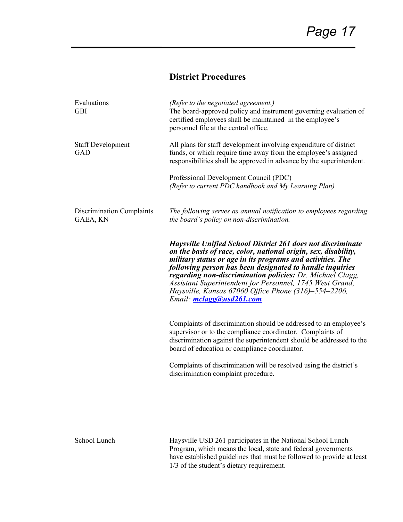## **District Procedures**

| Evaluations<br><b>GBI</b>             | (Refer to the negotiated agreement.)<br>The board-approved policy and instrument governing evaluation of<br>certified employees shall be maintained in the employee's<br>personnel file at the central office.                                                                                                                                                                                                                                                                     |
|---------------------------------------|------------------------------------------------------------------------------------------------------------------------------------------------------------------------------------------------------------------------------------------------------------------------------------------------------------------------------------------------------------------------------------------------------------------------------------------------------------------------------------|
| <b>Staff Development</b><br>GAD       | All plans for staff development involving expenditure of district<br>funds, or which require time away from the employee's assigned<br>responsibilities shall be approved in advance by the superintendent.                                                                                                                                                                                                                                                                        |
|                                       | Professional Development Council (PDC)<br>(Refer to current PDC handbook and My Learning Plan)                                                                                                                                                                                                                                                                                                                                                                                     |
| Discrimination Complaints<br>GAEA, KN | The following serves as annual notification to employees regarding<br>the board's policy on non-discrimination.                                                                                                                                                                                                                                                                                                                                                                    |
|                                       | <b>Haysville Unified School District 261 does not discriminate</b><br>on the basis of race, color, national origin, sex, disability,<br>military status or age in its programs and activities. The<br>following person has been designated to handle inquiries<br>regarding non-discrimination policies: Dr. Michael Clagg,<br>Assistant Superintendent for Personnel, 1745 West Grand,<br><i>Haysville, Kansas 67060 Office Phone (316)–554–2206,</i><br>Email: mclagg@usd261.com |
|                                       | Complaints of discrimination should be addressed to an employee's<br>supervisor or to the compliance coordinator. Complaints of<br>discrimination against the superintendent should be addressed to the<br>board of education or compliance coordinator.                                                                                                                                                                                                                           |
|                                       | Complaints of discrimination will be resolved using the district's<br>discrimination complaint procedure.                                                                                                                                                                                                                                                                                                                                                                          |
|                                       |                                                                                                                                                                                                                                                                                                                                                                                                                                                                                    |
| School Lunch                          | Haysville USD 261 participates in the National School Lunch<br>Program, which means the local, state and federal governments<br>have established guidelines that must be followed to provide at least                                                                                                                                                                                                                                                                              |

1/3 of the student's dietary requirement.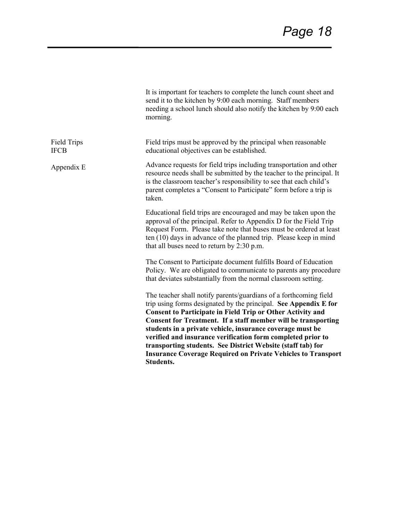|                                   | It is important for teachers to complete the lunch count sheet and<br>send it to the kitchen by 9:00 each morning. Staff members<br>needing a school lunch should also notify the kitchen by 9:00 each<br>morning.                                                                                                                                                                                                                                                                                                                                                |
|-----------------------------------|-------------------------------------------------------------------------------------------------------------------------------------------------------------------------------------------------------------------------------------------------------------------------------------------------------------------------------------------------------------------------------------------------------------------------------------------------------------------------------------------------------------------------------------------------------------------|
| <b>Field Trips</b><br><b>IFCB</b> | Field trips must be approved by the principal when reasonable<br>educational objectives can be established.                                                                                                                                                                                                                                                                                                                                                                                                                                                       |
| Appendix E                        | Advance requests for field trips including transportation and other<br>resource needs shall be submitted by the teacher to the principal. It<br>is the classroom teacher's responsibility to see that each child's<br>parent completes a "Consent to Participate" form before a trip is<br>taken.                                                                                                                                                                                                                                                                 |
|                                   | Educational field trips are encouraged and may be taken upon the<br>approval of the principal. Refer to Appendix D for the Field Trip<br>Request Form. Please take note that buses must be ordered at least<br>ten $(10)$ days in advance of the planned trip. Please keep in mind<br>that all buses need to return by 2:30 p.m.                                                                                                                                                                                                                                  |
|                                   | The Consent to Participate document fulfills Board of Education<br>Policy. We are obligated to communicate to parents any procedure<br>that deviates substantially from the normal classroom setting.                                                                                                                                                                                                                                                                                                                                                             |
|                                   | The teacher shall notify parents/guardians of a forthcoming field<br>trip using forms designated by the principal. See Appendix E for<br><b>Consent to Participate in Field Trip or Other Activity and</b><br>Consent for Treatment. If a staff member will be transporting<br>students in a private vehicle, insurance coverage must be<br>verified and insurance verification form completed prior to<br>transporting students. See District Website (staff tab) for<br><b>Insurance Coverage Required on Private Vehicles to Transport</b><br><b>Students.</b> |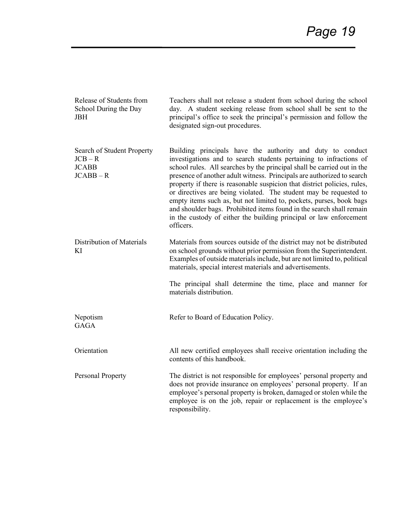| Release of Students from<br>School During the Day<br><b>JBH</b>        | Teachers shall not release a student from school during the school<br>day. A student seeking release from school shall be sent to the<br>principal's office to seek the principal's permission and follow the<br>designated sign-out procedures.                                                                                                                                                                                                                                                                                                                                                                                                                         |
|------------------------------------------------------------------------|--------------------------------------------------------------------------------------------------------------------------------------------------------------------------------------------------------------------------------------------------------------------------------------------------------------------------------------------------------------------------------------------------------------------------------------------------------------------------------------------------------------------------------------------------------------------------------------------------------------------------------------------------------------------------|
| Search of Student Property<br>$JCB - R$<br><b>JCABB</b><br>$JCABB - R$ | Building principals have the authority and duty to conduct<br>investigations and to search students pertaining to infractions of<br>school rules. All searches by the principal shall be carried out in the<br>presence of another adult witness. Principals are authorized to search<br>property if there is reasonable suspicion that district policies, rules,<br>or directives are being violated. The student may be requested to<br>empty items such as, but not limited to, pockets, purses, book bags<br>and shoulder bags. Prohibited items found in the search shall remain<br>in the custody of either the building principal or law enforcement<br>officers. |
| Distribution of Materials<br>KI                                        | Materials from sources outside of the district may not be distributed<br>on school grounds without prior permission from the Superintendent.<br>Examples of outside materials include, but are not limited to, political<br>materials, special interest materials and advertisements.                                                                                                                                                                                                                                                                                                                                                                                    |
|                                                                        | The principal shall determine the time, place and manner for<br>materials distribution.                                                                                                                                                                                                                                                                                                                                                                                                                                                                                                                                                                                  |
| Nepotism<br><b>GAGA</b>                                                | Refer to Board of Education Policy.                                                                                                                                                                                                                                                                                                                                                                                                                                                                                                                                                                                                                                      |
| Orientation                                                            | All new certified employees shall receive orientation including the<br>contents of this handbook.                                                                                                                                                                                                                                                                                                                                                                                                                                                                                                                                                                        |
| Personal Property                                                      | The district is not responsible for employees' personal property and<br>does not provide insurance on employees' personal property. If an<br>employee's personal property is broken, damaged or stolen while the<br>employee is on the job, repair or replacement is the employee's<br>responsibility.                                                                                                                                                                                                                                                                                                                                                                   |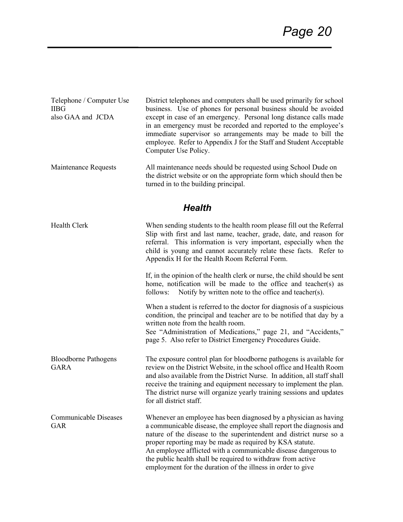| Telephone / Computer Use | District telephones and computers shall be used primarily for school |
|--------------------------|----------------------------------------------------------------------|
| <b>IIBG</b>              | business. Use of phones for personal business should be avoided      |
| also GAA and JCDA        | except in case of an emergency. Personal long distance calls made    |
|                          | in an emergency must be recorded and reported to the employee's      |
|                          | immediate supervisor so arrangements may be made to bill the         |
|                          | employee. Refer to Appendix J for the Staff and Student Acceptable   |
|                          | Computer Use Policy.                                                 |
| Maintenance Requests     | All maintenance needs should be requested using School Dude on       |

the district website or on the appropriate form which should then be turned in to the building principal.

## *Health*

| Health Clerk                               | When sending students to the health room please fill out the Referral<br>Slip with first and last name, teacher, grade, date, and reason for<br>referral. This information is very important, especially when the<br>child is young and cannot accurately relate these facts. Refer to<br>Appendix H for the Health Room Referral Form.                                                                                                                                    |
|--------------------------------------------|----------------------------------------------------------------------------------------------------------------------------------------------------------------------------------------------------------------------------------------------------------------------------------------------------------------------------------------------------------------------------------------------------------------------------------------------------------------------------|
|                                            | If, in the opinion of the health clerk or nurse, the child should be sent<br>home, notification will be made to the office and teacher(s) as<br>Notify by written note to the office and teacher(s).<br>follows:                                                                                                                                                                                                                                                           |
|                                            | When a student is referred to the doctor for diagnosis of a suspicious<br>condition, the principal and teacher are to be notified that day by a<br>written note from the health room.<br>See "Administration of Medications," page 21, and "Accidents,"<br>page 5. Also refer to District Emergency Procedures Guide.                                                                                                                                                      |
| <b>Bloodborne Pathogens</b><br><b>GARA</b> | The exposure control plan for bloodborne pathogens is available for<br>review on the District Website, in the school office and Health Room<br>and also available from the District Nurse. In addition, all staff shall<br>receive the training and equipment necessary to implement the plan.<br>The district nurse will organize yearly training sessions and updates<br>for all district staff.                                                                         |
| <b>Communicable Diseases</b><br><b>GAR</b> | Whenever an employee has been diagnosed by a physician as having<br>a communicable disease, the employee shall report the diagnosis and<br>nature of the disease to the superintendent and district nurse so a<br>proper reporting may be made as required by KSA statute.<br>An employee afflicted with a communicable disease dangerous to<br>the public health shall be required to withdraw from active<br>employment for the duration of the illness in order to give |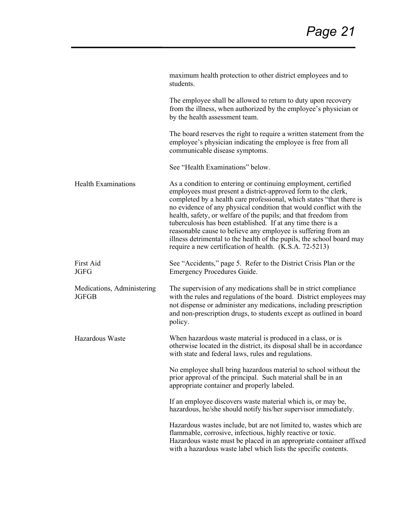|                                            | maximum health protection to other district employees and to<br>students.                                                                                                                                                                                                                                                                                                                                                                                                                                                                                                                                             |
|--------------------------------------------|-----------------------------------------------------------------------------------------------------------------------------------------------------------------------------------------------------------------------------------------------------------------------------------------------------------------------------------------------------------------------------------------------------------------------------------------------------------------------------------------------------------------------------------------------------------------------------------------------------------------------|
|                                            | The employee shall be allowed to return to duty upon recovery<br>from the illness, when authorized by the employee's physician or<br>by the health assessment team.                                                                                                                                                                                                                                                                                                                                                                                                                                                   |
|                                            | The board reserves the right to require a written statement from the<br>employee's physician indicating the employee is free from all<br>communicable disease symptoms.                                                                                                                                                                                                                                                                                                                                                                                                                                               |
|                                            | See "Health Examinations" below.                                                                                                                                                                                                                                                                                                                                                                                                                                                                                                                                                                                      |
| <b>Health Examinations</b>                 | As a condition to entering or continuing employment, certified<br>employees must present a district-approved form to the clerk,<br>completed by a health care professional, which states "that there is<br>no evidence of any physical condition that would conflict with the<br>health, safety, or welfare of the pupils; and that freedom from<br>tuberculosis has been established. If at any time there is a<br>reasonable cause to believe any employee is suffering from an<br>illness detrimental to the health of the pupils, the school board may<br>require a new certification of health. (K.S.A. 72-5213) |
| First Aid<br><b>JGFG</b>                   | See "Accidents," page 5. Refer to the District Crisis Plan or the<br><b>Emergency Procedures Guide.</b>                                                                                                                                                                                                                                                                                                                                                                                                                                                                                                               |
| Medications, Administering<br><b>JGFGB</b> | The supervision of any medications shall be in strict compliance<br>with the rules and regulations of the board. District employees may<br>not dispense or administer any medications, including prescription<br>and non-prescription drugs, to students except as outlined in board<br>policy.                                                                                                                                                                                                                                                                                                                       |
| Hazardous Waste                            | When hazardous waste material is produced in a class, or is<br>otherwise located in the district, its disposal shall be in accordance<br>with state and federal laws, rules and regulations.                                                                                                                                                                                                                                                                                                                                                                                                                          |
|                                            | No employee shall bring hazardous material to school without the<br>prior approval of the principal. Such material shall be in an<br>appropriate container and properly labeled.                                                                                                                                                                                                                                                                                                                                                                                                                                      |
|                                            | If an employee discovers waste material which is, or may be,<br>hazardous, he/she should notify his/her supervisor immediately.                                                                                                                                                                                                                                                                                                                                                                                                                                                                                       |
|                                            | Hazardous wastes include, but are not limited to, wastes which are<br>flammable, corrosive, infectious, highly reactive or toxic.<br>Hazardous waste must be placed in an appropriate container affixed<br>with a hazardous waste label which lists the specific contents.                                                                                                                                                                                                                                                                                                                                            |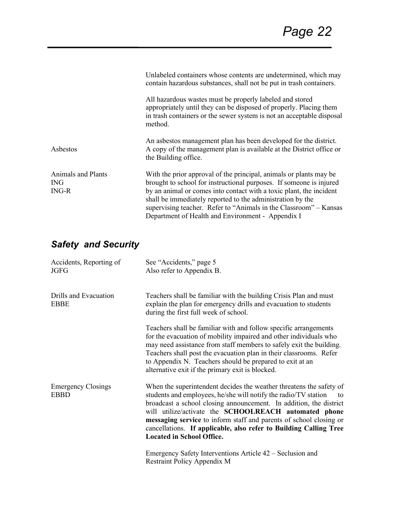|                                                    | Unlabeled containers whose contents are undetermined, which may<br>contain hazardous substances, shall not be put in trash containers.                                                                                                                                                                                                                                                                   |
|----------------------------------------------------|----------------------------------------------------------------------------------------------------------------------------------------------------------------------------------------------------------------------------------------------------------------------------------------------------------------------------------------------------------------------------------------------------------|
|                                                    | All hazardous wastes must be properly labeled and stored<br>appropriately until they can be disposed of properly. Placing them<br>in trash containers or the sewer system is not an acceptable disposal<br>method.                                                                                                                                                                                       |
| Asbestos                                           | An asbestos management plan has been developed for the district.<br>A copy of the management plan is available at the District office or<br>the Building office.                                                                                                                                                                                                                                         |
| <b>Animals and Plants</b><br><b>ING</b><br>$ING-R$ | With the prior approval of the principal, animals or plants may be<br>brought to school for instructional purposes. If someone is injured<br>by an animal or comes into contact with a toxic plant, the incident<br>shall be immediately reported to the administration by the<br>supervising teacher. Refer to "Animals in the Classroom" – Kansas<br>Department of Health and Environment - Appendix I |

# *Safety and Security*

| Accidents, Reporting of<br><b>JGFG</b>   | See "Accidents," page 5<br>Also refer to Appendix B.                                                                                                                                                                                                                                                                                                                                                                                                       |
|------------------------------------------|------------------------------------------------------------------------------------------------------------------------------------------------------------------------------------------------------------------------------------------------------------------------------------------------------------------------------------------------------------------------------------------------------------------------------------------------------------|
| Drills and Evacuation<br><b>EBBE</b>     | Teachers shall be familiar with the building Crisis Plan and must<br>explain the plan for emergency drills and evacuation to students<br>during the first full week of school.                                                                                                                                                                                                                                                                             |
|                                          | Teachers shall be familiar with and follow specific arrangements<br>for the evacuation of mobility impaired and other individuals who<br>may need assistance from staff members to safely exit the building.<br>Teachers shall post the evacuation plan in their classrooms. Refer<br>to Appendix N. Teachers should be prepared to exit at an<br>alternative exit if the primary exit is blocked.                                                         |
| <b>Emergency Closings</b><br><b>EBBD</b> | When the superintendent decides the weather threatens the safety of<br>students and employees, he/she will notify the radio/TV station<br>to<br>broadcast a school closing announcement. In addition, the district<br>will utilize/activate the SCHOOLREACH automated phone<br>messaging service to inform staff and parents of school closing or<br>cancellations. If applicable, also refer to Building Calling Tree<br><b>Located in School Office.</b> |
|                                          | Emergency Safety Interventions Article 42 – Seclusion and<br>Restraint Policy Appendix M                                                                                                                                                                                                                                                                                                                                                                   |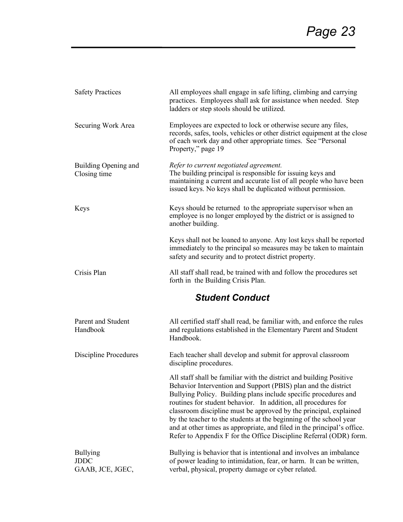| <b>Safety Practices</b>                            | All employees shall engage in safe lifting, climbing and carrying<br>practices. Employees shall ask for assistance when needed. Step<br>ladders or step stools should be utilized.                                                                                                                                                                                                                                                                                                                                                                                     |  |
|----------------------------------------------------|------------------------------------------------------------------------------------------------------------------------------------------------------------------------------------------------------------------------------------------------------------------------------------------------------------------------------------------------------------------------------------------------------------------------------------------------------------------------------------------------------------------------------------------------------------------------|--|
| Securing Work Area                                 | Employees are expected to lock or otherwise secure any files,<br>records, safes, tools, vehicles or other district equipment at the close<br>of each work day and other appropriate times. See "Personal<br>Property," page 19                                                                                                                                                                                                                                                                                                                                         |  |
| Building Opening and<br>Closing time               | Refer to current negotiated agreement.<br>The building principal is responsible for issuing keys and<br>maintaining a current and accurate list of all people who have been<br>issued keys. No keys shall be duplicated without permission.                                                                                                                                                                                                                                                                                                                            |  |
| Keys                                               | Keys should be returned to the appropriate supervisor when an<br>employee is no longer employed by the district or is assigned to<br>another building.                                                                                                                                                                                                                                                                                                                                                                                                                 |  |
|                                                    | Keys shall not be loaned to anyone. Any lost keys shall be reported<br>immediately to the principal so measures may be taken to maintain<br>safety and security and to protect district property.                                                                                                                                                                                                                                                                                                                                                                      |  |
| Crisis Plan                                        | All staff shall read, be trained with and follow the procedures set<br>forth in the Building Crisis Plan.                                                                                                                                                                                                                                                                                                                                                                                                                                                              |  |
| <b>Student Conduct</b>                             |                                                                                                                                                                                                                                                                                                                                                                                                                                                                                                                                                                        |  |
| Parent and Student<br>Handbook                     | All certified staff shall read, be familiar with, and enforce the rules<br>and regulations established in the Elementary Parent and Student<br>Handbook.                                                                                                                                                                                                                                                                                                                                                                                                               |  |
| <b>Discipline Procedures</b>                       | Each teacher shall develop and submit for approval classroom<br>discipline procedures.                                                                                                                                                                                                                                                                                                                                                                                                                                                                                 |  |
|                                                    | All staff shall be familiar with the district and building Positive<br>Behavior Intervention and Support (PBIS) plan and the district<br>Bullying Policy. Building plans include specific procedures and<br>routines for student behavior. In addition, all procedures for<br>classroom discipline must be approved by the principal, explained<br>by the teacher to the students at the beginning of the school year<br>and at other times as appropriate, and filed in the principal's office.<br>Refer to Appendix F for the Office Discipline Referral (ODR) form. |  |
| <b>Bullying</b><br><b>JDDC</b><br>GAAB, JCE, JGEC, | Bullying is behavior that is intentional and involves an imbalance<br>of power leading to intimidation, fear, or harm. It can be written,<br>verbal, physical, property damage or cyber related.                                                                                                                                                                                                                                                                                                                                                                       |  |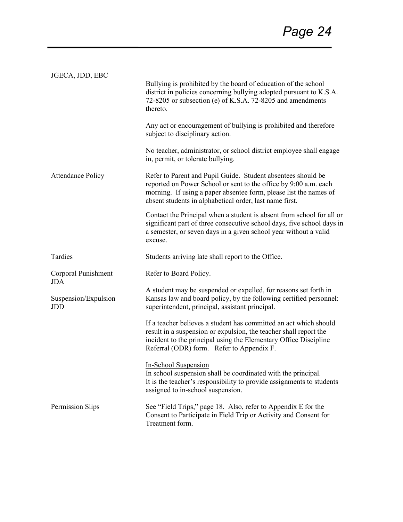| JGECA, JDD, EBC             | Bullying is prohibited by the board of education of the school<br>district in policies concerning bullying adopted pursuant to K.S.A.<br>72-8205 or subsection (e) of K.S.A. 72-8205 and amendments<br>thereto.                                                  |
|-----------------------------|------------------------------------------------------------------------------------------------------------------------------------------------------------------------------------------------------------------------------------------------------------------|
| <b>Attendance Policy</b>    | Any act or encouragement of bullying is prohibited and therefore<br>subject to disciplinary action.                                                                                                                                                              |
|                             | No teacher, administrator, or school district employee shall engage<br>in, permit, or tolerate bullying.                                                                                                                                                         |
|                             | Refer to Parent and Pupil Guide. Student absentees should be<br>reported on Power School or sent to the office by 9:00 a.m. each<br>morning. If using a paper absentee form, please list the names of<br>absent students in alphabetical order, last name first. |
|                             | Contact the Principal when a student is absent from school for all or<br>significant part of three consecutive school days, five school days in<br>a semester, or seven days in a given school year without a valid<br>excuse.                                   |
| Tardies                     | Students arriving late shall report to the Office.                                                                                                                                                                                                               |
| Corporal Punishment<br>JDA  | Refer to Board Policy.                                                                                                                                                                                                                                           |
| Suspension/Expulsion<br>JDD | A student may be suspended or expelled, for reasons set forth in<br>Kansas law and board policy, by the following certified personnel:<br>superintendent, principal, assistant principal.                                                                        |
|                             | If a teacher believes a student has committed an act which should<br>result in a suspension or expulsion, the teacher shall report the<br>incident to the principal using the Elementary Office Discipline<br>Referral (ODR) form. Refer to Appendix F.          |
|                             | In-School Suspension<br>In school suspension shall be coordinated with the principal.<br>It is the teacher's responsibility to provide assignments to students<br>assigned to in-school suspension.                                                              |
| Permission Slips            | See "Field Trips," page 18. Also, refer to Appendix E for the<br>Consent to Participate in Field Trip or Activity and Consent for<br>Treatment form.                                                                                                             |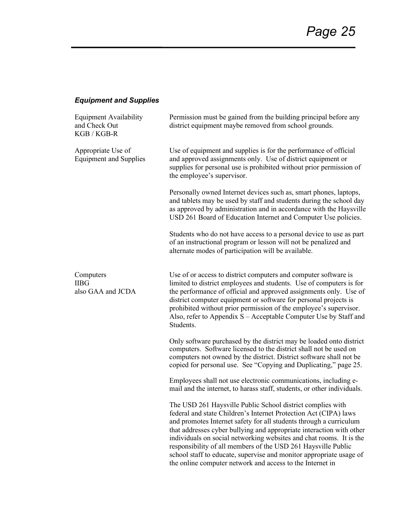## *Equipment and Supplies*

| <b>Equipment Availability</b><br>and Check Out<br>KGB / KGB-R | Permission must be gained from the building principal before any<br>district equipment maybe removed from school grounds.                                                                                                                                                                                                                                                                                                                                                                   |
|---------------------------------------------------------------|---------------------------------------------------------------------------------------------------------------------------------------------------------------------------------------------------------------------------------------------------------------------------------------------------------------------------------------------------------------------------------------------------------------------------------------------------------------------------------------------|
| Appropriate Use of<br><b>Equipment and Supplies</b>           | Use of equipment and supplies is for the performance of official<br>and approved assignments only. Use of district equipment or<br>supplies for personal use is prohibited without prior permission of<br>the employee's supervisor.                                                                                                                                                                                                                                                        |
|                                                               | Personally owned Internet devices such as, smart phones, laptops,<br>and tablets may be used by staff and students during the school day<br>as approved by administration and in accordance with the Haysville<br>USD 261 Board of Education Internet and Computer Use policies.                                                                                                                                                                                                            |
|                                                               | Students who do not have access to a personal device to use as part<br>of an instructional program or lesson will not be penalized and<br>alternate modes of participation will be available.                                                                                                                                                                                                                                                                                               |
| Computers<br><b>IIBG</b><br>also GAA and JCDA                 | Use of or access to district computers and computer software is<br>limited to district employees and students. Use of computers is for<br>the performance of official and approved assignments only. Use of<br>district computer equipment or software for personal projects is<br>prohibited without prior permission of the employee's supervisor.<br>Also, refer to Appendix $S -$ Acceptable Computer Use by Staff and<br>Students.                                                     |
|                                                               | Only software purchased by the district may be loaded onto district<br>computers. Software licensed to the district shall not be used on<br>computers not owned by the district. District software shall not be<br>copied for personal use. See "Copying and Duplicating," page 25.                                                                                                                                                                                                         |
|                                                               | Employees shall not use electronic communications, including e-<br>mail and the internet, to harass staff, students, or other individuals.                                                                                                                                                                                                                                                                                                                                                  |
|                                                               | The USD 261 Haysville Public School district complies with<br>federal and state Children's Internet Protection Act (CIPA) laws<br>and promotes Internet safety for all students through a curriculum<br>that addresses cyber bullying and appropriate interaction with other<br>individuals on social networking websites and chat rooms. It is the<br>responsibility of all members of the USD 261 Haysville Public<br>school staff to educate, supervise and monitor appropriate usage of |

the online computer network and access to the Internet in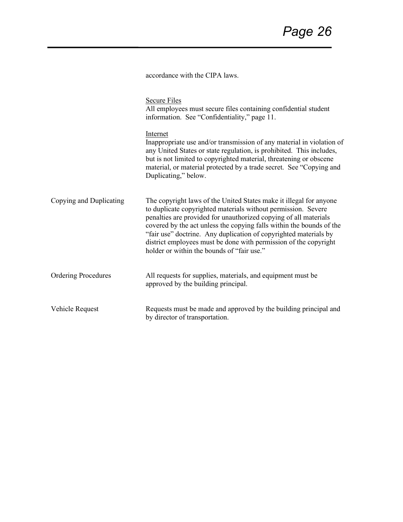accordance with the CIPA laws.

|                            | <b>Secure Files</b><br>All employees must secure files containing confidential student<br>information. See "Confidentiality," page 11.                                                                                                                                                                                                                                                                                                                                |
|----------------------------|-----------------------------------------------------------------------------------------------------------------------------------------------------------------------------------------------------------------------------------------------------------------------------------------------------------------------------------------------------------------------------------------------------------------------------------------------------------------------|
|                            | Internet<br>Inappropriate use and/or transmission of any material in violation of<br>any United States or state regulation, is prohibited. This includes,<br>but is not limited to copyrighted material, threatening or obscene<br>material, or material protected by a trade secret. See "Copying and<br>Duplicating," below.                                                                                                                                        |
| Copying and Duplicating    | The copyright laws of the United States make it illegal for anyone<br>to duplicate copyrighted materials without permission. Severe<br>penalties are provided for unauthorized copying of all materials<br>covered by the act unless the copying falls within the bounds of the<br>"fair use" doctrine. Any duplication of copyrighted materials by<br>district employees must be done with permission of the copyright<br>holder or within the bounds of "fair use." |
| <b>Ordering Procedures</b> | All requests for supplies, materials, and equipment must be<br>approved by the building principal.                                                                                                                                                                                                                                                                                                                                                                    |
| Vehicle Request            | Requests must be made and approved by the building principal and<br>by director of transportation.                                                                                                                                                                                                                                                                                                                                                                    |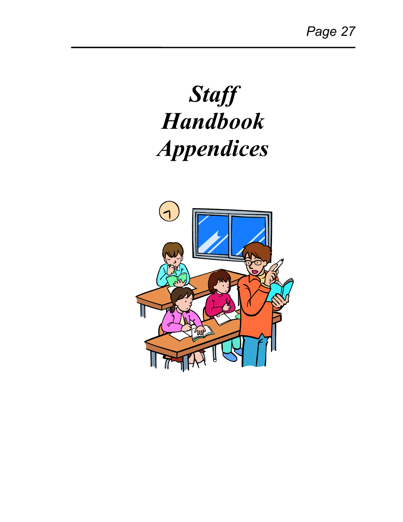# *Staff Handbook Appendices*

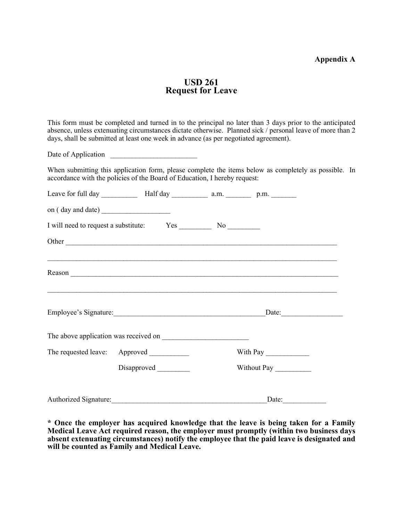#### **Appendix A**

#### **USD 261 Request for Leave**

This form must be completed and turned in to the principal no later than 3 days prior to the anticipated absence, unless extenuating circumstances dictate otherwise. Planned sick / personal leave of more than 2 days, shall be submitted at least one week in advance (as per negotiated agreement).

Date of Application

When submitting this application form, please complete the items below as completely as possible. In accordance with the policies of the Board of Education, I hereby request:

|                       | Employee's Signature: Date: Date:         |             |
|-----------------------|-------------------------------------------|-------------|
|                       |                                           |             |
|                       | The requested leave: Approved ___________ | With Pay    |
|                       | Disapproved                               | Without Pay |
| Authorized Signature: |                                           | Date:       |

**\* Once the employer has acquired knowledge that the leave is being taken for a Family Medical Leave Act required reason, the employer must promptly (within two business days absent extenuating circumstances) notify the employee that the paid leave is designated and will be counted as Family and Medical Leave.**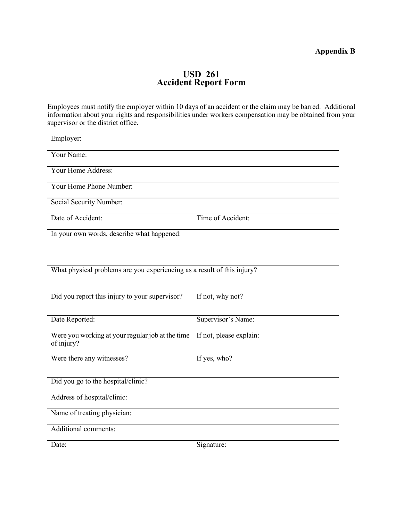#### **Appendix B**

#### **USD 261 Accident Report Form**

Employees must notify the employer within 10 days of an accident or the claim may be barred. Additional information about your rights and responsibilities under workers compensation may be obtained from your supervisor or the district office.

Employer:

| Your Name:                                 |                   |
|--------------------------------------------|-------------------|
| Your Home Address:                         |                   |
| Your Home Phone Number:                    |                   |
| Social Security Number:                    |                   |
| Date of Accident:                          | Time of Accident: |
|                                            |                   |
| In your own words, describe what happened: |                   |

What physical problems are you experiencing as a result of this injury?

| Did you report this injury to your supervisor?                 | If not, why not?        |
|----------------------------------------------------------------|-------------------------|
| Date Reported:                                                 | Supervisor's Name:      |
| Were you working at your regular job at the time<br>of injury? | If not, please explain: |
| Were there any witnesses?                                      | If yes, who?            |
| Did you go to the hospital/clinic?                             |                         |
| Address of hospital/clinic:                                    |                         |
| Name of treating physician:                                    |                         |
| Additional comments:                                           |                         |
| Date:                                                          | Signature:              |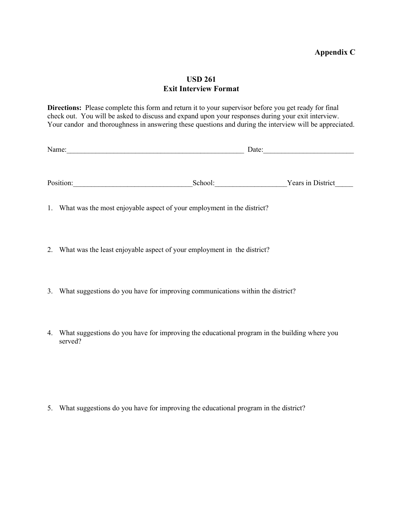#### **USD 261 Exit Interview Format**

**Directions:** Please complete this form and return it to your supervisor before you get ready for final check out. You will be asked to discuss and expand upon your responses during your exit interview. Your candor and thoroughness in answering these questions and during the interview will be appreciated.

| Name:     |         | Date:             |
|-----------|---------|-------------------|
|           |         |                   |
|           |         |                   |
| Position: | School: | Years in District |

1. What was the most enjoyable aspect of your employment in the district?

- 2. What was the least enjoyable aspect of your employment in the district?
- 3. What suggestions do you have for improving communications within the district?
- 4. What suggestions do you have for improving the educational program in the building where you served?

5. What suggestions do you have for improving the educational program in the district?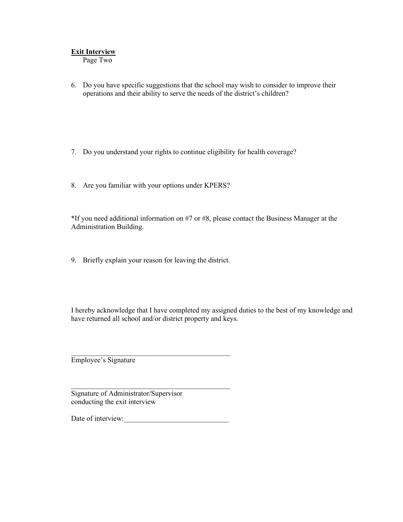#### **Exit Interview**

Page Two

- 6. Do you have specific suggestions that the school may wish to consider to improve their operations and their ability to serve the needs of the district's children?
- 7. Do you understand your rights to continue eligibility for health coverage?
- 8. Are you familiar with your options under KPERS?

\*If you need additional information on #7 or #8, please contact the Business Manager at the Administration Building.

9. Briefly explain your reason for leaving the district.

I hereby acknowledge that I have completed my assigned duties to the best of my knowledge and have returned all school and/or district property and keys.

Employee's Signature

 $\mathcal{L}_\text{max}$  , which is a set of the set of the set of the set of the set of the set of the set of the set of the set of the set of the set of the set of the set of the set of the set of the set of the set of the set of Signature of Administrator/Supervisor conducting the exit interview

Date of interview:\_\_\_\_\_\_\_\_\_\_\_\_\_\_\_\_\_\_\_\_\_\_\_\_\_\_\_\_\_

\_\_\_\_\_\_\_\_\_\_\_\_\_\_\_\_\_\_\_\_\_\_\_\_\_\_\_\_\_\_\_\_\_\_\_\_\_\_\_\_\_\_\_\_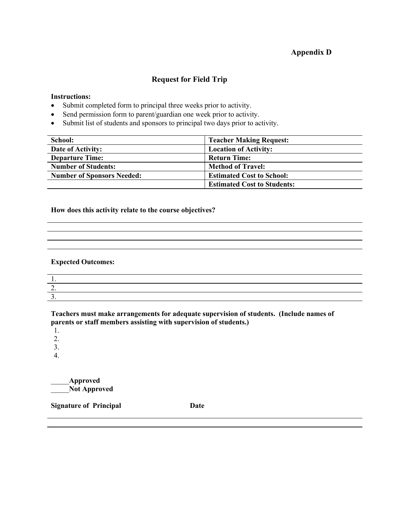#### **Appendix D**

#### **Request for Field Trip**

#### **Instructions:**

- Submit completed form to principal three weeks prior to activity.
- Send permission form to parent/guardian one week prior to activity.
- Submit list of students and sponsors to principal two days prior to activity.

| School:                           | <b>Teacher Making Request:</b>     |
|-----------------------------------|------------------------------------|
| Date of Activity:                 | <b>Location of Activity:</b>       |
| <b>Departure Time:</b>            | <b>Return Time:</b>                |
| <b>Number of Students:</b>        | <b>Method of Travel:</b>           |
| <b>Number of Sponsors Needed:</b> | <b>Estimated Cost to School:</b>   |
|                                   | <b>Estimated Cost to Students:</b> |

#### **How does this activity relate to the course objectives?**

#### **Expected Outcomes:**

| <u>L.</u> |  |  |
|-----------|--|--|
|           |  |  |
|           |  |  |

**Teachers must make arrangements for adequate supervision of students. (Include names of parents or staff members assisting with supervision of students.)**

1.

2.

3.

4.

\_\_\_\_\_**Approved** \_\_\_\_\_**Not Approved**

**Signature of Principal Date**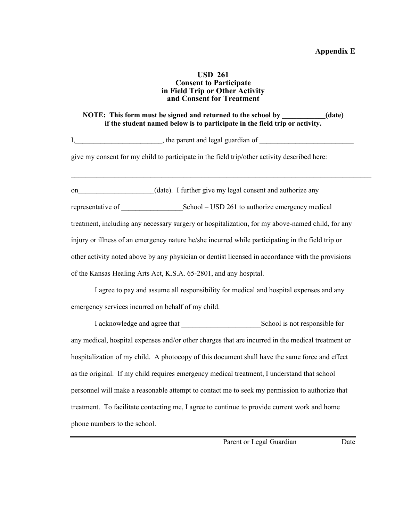#### **USD 261 Consent to Participate in Field Trip or Other Activity and Consent for Treatment**

#### **NOTE: This form must be signed and returned to the school by \_\_\_\_\_\_\_\_\_\_\_\_(date) if the student named below is to participate in the field trip or activity.**

 $\_$  , and the set of the set of the set of the set of the set of the set of the set of the set of the set of the set of the set of the set of the set of the set of the set of the set of the set of the set of the set of th

I, the parent and legal guardian of

give my consent for my child to participate in the field trip/other activity described here:

on (date). I further give my legal consent and authorize any representative of \_\_\_\_\_\_\_\_\_\_\_\_\_\_\_\_\_School – USD 261 to authorize emergency medical treatment, including any necessary surgery or hospitalization, for my above-named child, for any injury or illness of an emergency nature he/she incurred while participating in the field trip or other activity noted above by any physician or dentist licensed in accordance with the provisions of the Kansas Healing Arts Act, K.S.A. 65-2801, and any hospital.

I agree to pay and assume all responsibility for medical and hospital expenses and any emergency services incurred on behalf of my child.

I acknowledge and agree that School is not responsible for any medical, hospital expenses and/or other charges that are incurred in the medical treatment or hospitalization of my child. A photocopy of this document shall have the same force and effect as the original. If my child requires emergency medical treatment, I understand that school personnel will make a reasonable attempt to contact me to seek my permission to authorize that treatment. To facilitate contacting me, I agree to continue to provide current work and home phone numbers to the school.

Parent or Legal Guardian Date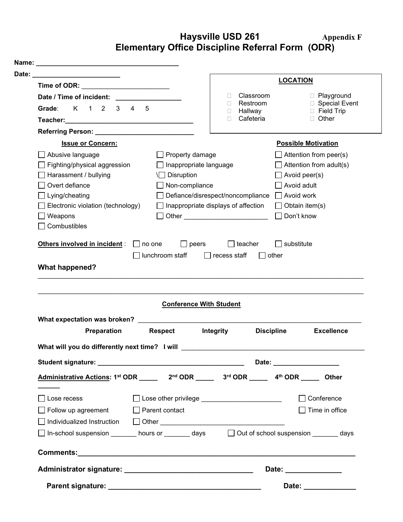## **Haysville USD 261 Appendix F Elementary Office Discipline Referral Form (ODR)**

| Date: _________________________                                                                                                                                                                                                                                                                                                                                                                   |                                                  |                                                                                                                                                                                                                                |                                               | <b>LOCATION</b>                                                 |
|---------------------------------------------------------------------------------------------------------------------------------------------------------------------------------------------------------------------------------------------------------------------------------------------------------------------------------------------------------------------------------------------------|--------------------------------------------------|--------------------------------------------------------------------------------------------------------------------------------------------------------------------------------------------------------------------------------|-----------------------------------------------|-----------------------------------------------------------------|
| Time of ODR: _________________________<br>Date / Time of incident:<br>K 1 2 3<br>Grade:                                                                                                                                                                                                                                                                                                           | 5<br>$\overline{4}$                              | $\Box$<br>П                                                                                                                                                                                                                    | Classroom<br>Restroom<br>Hallway<br>Cafeteria | D Playground<br>□ Special Event<br>$\Box$ Field Trip<br>□ Other |
|                                                                                                                                                                                                                                                                                                                                                                                                   |                                                  |                                                                                                                                                                                                                                |                                               |                                                                 |
| <b>Issue or Concern:</b>                                                                                                                                                                                                                                                                                                                                                                          |                                                  |                                                                                                                                                                                                                                |                                               | <b>Possible Motivation</b>                                      |
| Abusive language<br>Fighting/physical aggression                                                                                                                                                                                                                                                                                                                                                  |                                                  | Property damage<br>Inappropriate language                                                                                                                                                                                      |                                               | $\Box$ Attention from peer(s)<br>$\Box$ Attention from adult(s) |
| Harassment / bullying                                                                                                                                                                                                                                                                                                                                                                             | $\Box$ Disruption                                |                                                                                                                                                                                                                                |                                               | $\exists$ Avoid peer(s)                                         |
| Overt defiance                                                                                                                                                                                                                                                                                                                                                                                    |                                                  | Non-compliance                                                                                                                                                                                                                 |                                               | Avoid adult                                                     |
| Lying/cheating                                                                                                                                                                                                                                                                                                                                                                                    |                                                  | Defiance/disrespect/noncompliance                                                                                                                                                                                              |                                               | Avoid work                                                      |
| Electronic violation (technology)                                                                                                                                                                                                                                                                                                                                                                 |                                                  | Inappropriate displays of affection                                                                                                                                                                                            |                                               | Obtain item(s)                                                  |
| Weapons                                                                                                                                                                                                                                                                                                                                                                                           |                                                  | Other experiences and the contract of the contract of the contract of the contract of the contract of the contract of the contract of the contract of the contract of the contract of the contract of the contract of the cont |                                               | Don't know                                                      |
| Combustibles                                                                                                                                                                                                                                                                                                                                                                                      |                                                  |                                                                                                                                                                                                                                |                                               |                                                                 |
|                                                                                                                                                                                                                                                                                                                                                                                                   | lunchroom staff                                  | recess staff                                                                                                                                                                                                                   | other                                         |                                                                 |
|                                                                                                                                                                                                                                                                                                                                                                                                   |                                                  | <b>Conference With Student</b>                                                                                                                                                                                                 |                                               |                                                                 |
| Preparation                                                                                                                                                                                                                                                                                                                                                                                       | <b>Respect</b>                                   | Integrity                                                                                                                                                                                                                      | <b>Discipline</b>                             | <b>Excellence</b>                                               |
|                                                                                                                                                                                                                                                                                                                                                                                                   |                                                  |                                                                                                                                                                                                                                |                                               |                                                                 |
|                                                                                                                                                                                                                                                                                                                                                                                                   |                                                  |                                                                                                                                                                                                                                |                                               | Date: ___________________                                       |
|                                                                                                                                                                                                                                                                                                                                                                                                   |                                                  |                                                                                                                                                                                                                                |                                               |                                                                 |
| Lose recess                                                                                                                                                                                                                                                                                                                                                                                       | □ Lose other privilege _________________________ |                                                                                                                                                                                                                                |                                               | $\Box$ Conference                                               |
| Follow up agreement Parent contact                                                                                                                                                                                                                                                                                                                                                                |                                                  |                                                                                                                                                                                                                                |                                               | Time in office                                                  |
| <b>What happened?</b><br>What expectation was broken? Network and the state of the state of the state of the state of the state of the state of the state of the state of the state of the state of the state of the state of the state of the state of<br>What will you do differently next time? I will<br>Administrative Actions: 1st ODR _____ 2nd ODR _____ 3rd ODR _____ 4th ODR ____ Other |                                                  |                                                                                                                                                                                                                                |                                               |                                                                 |
|                                                                                                                                                                                                                                                                                                                                                                                                   |                                                  |                                                                                                                                                                                                                                |                                               |                                                                 |
|                                                                                                                                                                                                                                                                                                                                                                                                   |                                                  |                                                                                                                                                                                                                                |                                               |                                                                 |
| □ In-school suspension _______ hours or _______ days    □ Out of school suspension _______ days                                                                                                                                                                                                                                                                                                   |                                                  |                                                                                                                                                                                                                                |                                               | Date: _______________                                           |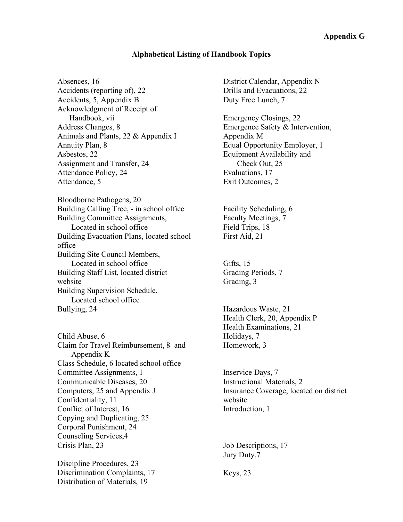#### **Alphabetical Listing of Handbook Topics**

Absences, 16 Accidents (reporting of), 22 Accidents, 5, Appendix B Acknowledgment of Receipt of Handbook, vii Address Changes, 8 Animals and Plants, 22 & Appendix I Annuity Plan, 8 Asbestos, 22 Assignment and Transfer, 24 Attendance Policy, 24 Attendance, 5

Bloodborne Pathogens, 20 Building Calling Tree, - in school office Building Committee Assignments, Located in school office Building Evacuation Plans, located school office Building Site Council Members, Located in school office Building Staff List, located district website Building Supervision Schedule, Located school office Bullying, 24

Child Abuse, 6 Claim for Travel Reimbursement, 8 and Appendix K Class Schedule, 6 located school office Committee Assignments, 1 Communicable Diseases, 20 Computers, 25 and Appendix J Confidentiality, 11 Conflict of Interest, 16 Copying and Duplicating, 25 Corporal Punishment, 24 Counseling Services,4 Crisis Plan, 23

Discipline Procedures, 23 Discrimination Complaints, 17 Distribution of Materials, 19

District Calendar, Appendix N Drills and Evacuations, 22 Duty Free Lunch, 7

Emergency Closings, 22 Emergence Safety & Intervention, Appendix M Equal Opportunity Employer, 1 Equipment Availability and Check Out, 25 Evaluations, 17 Exit Outcomes, 2

Facility Scheduling, 6 Faculty Meetings, 7 Field Trips, 18 First Aid, 21

Gifts, 15 Grading Periods, 7 Grading, 3

Hazardous Waste, 21 Health Clerk, 20, Appendix P Health Examinations, 21 Holidays, 7 Homework, 3

Inservice Days, 7 Instructional Materials, 2 Insurance Coverage, located on district website Introduction, 1

Job Descriptions, 17 Jury Duty,7

Keys, 23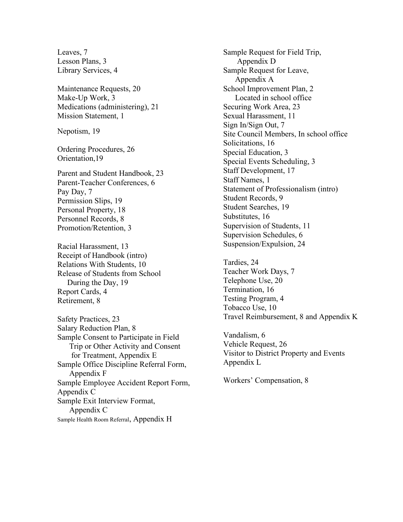Leaves, 7 Lesson Plans, 3 Library Services, 4

Maintenance Requests, 20 Make-Up Work, 3 Medications (administering), 21 Mission Statement, 1

Nepotism, 19

Ordering Procedures, 26 Orientation,19

Parent and Student Handbook, 23 Parent-Teacher Conferences, 6 Pay Day, 7 Permission Slips, 19 Personal Property, 18 Personnel Records, 8 Promotion/Retention, 3

Racial Harassment, 13 Receipt of Handbook (intro) Relations With Students, 10 Release of Students from School During the Day, 19 Report Cards, 4 Retirement, 8

Safety Practices, 23 Salary Reduction Plan, 8 Sample Consent to Participate in Field Trip or Other Activity and Consent for Treatment, Appendix E Sample Office Discipline Referral Form, Appendix F Sample Employee Accident Report Form, Appendix C Sample Exit Interview Format, Appendix C Sample Health Room Referral, Appendix H

Sample Request for Field Trip, Appendix D Sample Request for Leave, Appendix A School Improvement Plan, 2 Located in school office Securing Work Area, 23 Sexual Harassment, 11 Sign In/Sign Out, 7 Site Council Members, In school office Solicitations, 16 Special Education, 3 Special Events Scheduling, 3 Staff Development, 17 Staff Names, 1 Statement of Professionalism (intro) Student Records, 9 Student Searches, 19 Substitutes, 16 Supervision of Students, 11 Supervision Schedules, 6 Suspension/Expulsion, 24

Tardies, 24 Teacher Work Days, 7 Telephone Use, 20 Termination, 16 Testing Program, 4 Tobacco Use, 10 Travel Reimbursement, 8 and Appendix K

Vandalism, 6 Vehicle Request, 26 Visitor to District Property and Events Appendix L

Workers' Compensation, 8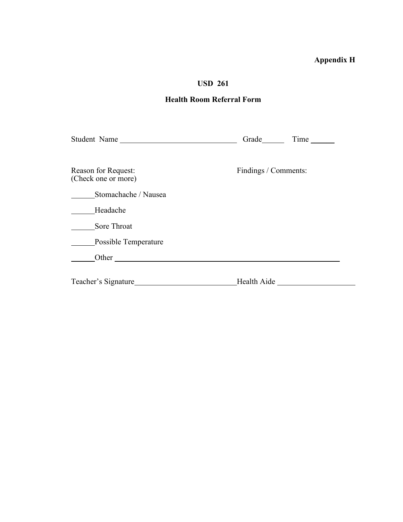## **Appendix H**

L,

## **USD 261**

## **Health Room Referral Form**

| Student Name                               | Grade Time           |
|--------------------------------------------|----------------------|
| Reason for Request:<br>(Check one or more) | Findings / Comments: |
| Stomachache / Nausea                       |                      |
| Headache                                   |                      |
| Sore Throat                                |                      |
| Possible Temperature                       |                      |
|                                            |                      |
| Teacher's Signature                        | Health Aide          |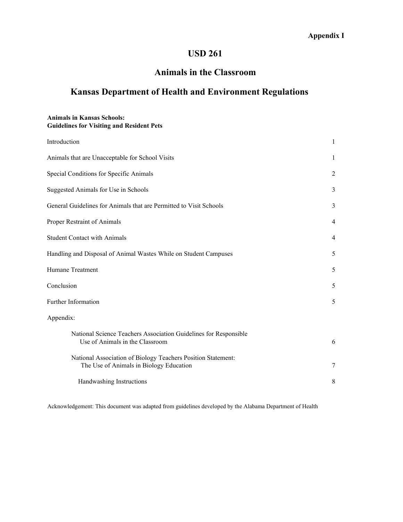## **USD 261**

## **Animals in the Classroom**

## **Kansas Department of Health and Environment Regulations**

#### **Animals in Kansas Schools: Guidelines for Visiting and Resident Pets**

| Introduction                                                                                            | 1 |
|---------------------------------------------------------------------------------------------------------|---|
| Animals that are Unacceptable for School Visits                                                         | 1 |
| Special Conditions for Specific Animals                                                                 | 2 |
| Suggested Animals for Use in Schools                                                                    | 3 |
| General Guidelines for Animals that are Permitted to Visit Schools                                      | 3 |
| Proper Restraint of Animals                                                                             | 4 |
| <b>Student Contact with Animals</b>                                                                     | 4 |
| Handling and Disposal of Animal Wastes While on Student Campuses                                        | 5 |
| Humane Treatment                                                                                        | 5 |
| Conclusion                                                                                              | 5 |
| Further Information                                                                                     | 5 |
| Appendix:                                                                                               |   |
| National Science Teachers Association Guidelines for Responsible<br>Use of Animals in the Classroom     | 6 |
| National Association of Biology Teachers Position Statement:<br>The Use of Animals in Biology Education | 7 |
| Handwashing Instructions                                                                                | 8 |

Acknowledgement: This document was adapted from guidelines developed by the Alabama Department of Health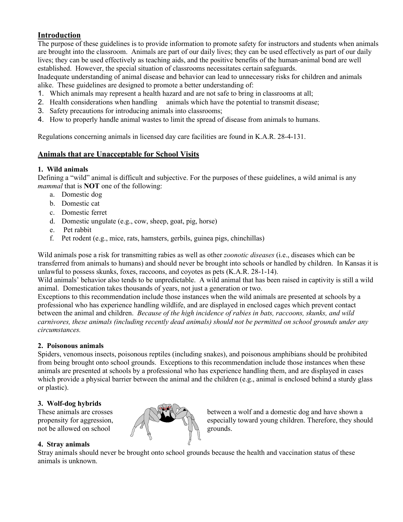#### **Introduction**

The purpose of these guidelines is to provide information to promote safety for instructors and students when animals are brought into the classroom. Animals are part of our daily lives; they can be used effectively as part of our daily lives; they can be used effectively as teaching aids, and the positive benefits of the human-animal bond are well established. However, the special situation of classrooms necessitates certain safeguards.

Inadequate understanding of animal disease and behavior can lead to unnecessary risks for children and animals alike. These guidelines are designed to promote a better understanding of:

- 1. Which animals may represent a health hazard and are not safe to bring in classrooms at all;
- 2. Health considerations when handling animals which have the potential to transmit disease;
- 3. Safety precautions for introducing animals into classrooms;
- 4. How to properly handle animal wastes to limit the spread of disease from animals to humans.

Regulations concerning animals in licensed day care facilities are found in K.A.R. 28-4-131.

#### **Animals that are Unacceptable for School Visits**

#### **1. Wild animals**

Defining a "wild" animal is difficult and subjective. For the purposes of these guidelines, a wild animal is any *mammal* that is **NOT** one of the following:

- a. Domestic dog
- b. Domestic cat
- c. Domestic ferret
- d. Domestic ungulate (e.g., cow, sheep, goat, pig, horse)
- e. Pet rabbit
- f. Pet rodent (e.g., mice, rats, hamsters, gerbils, guinea pigs, chinchillas)

Wild animals pose a risk for transmitting rabies as well as other *zoonotic diseases* (i.e., diseases which can be transferred from animals to humans) and should never be brought into schools or handled by children. In Kansas it is unlawful to possess skunks, foxes, raccoons, and coyotes as pets (K.A.R. 28-1-14).

Wild animals' behavior also tends to be unpredictable. A wild animal that has been raised in captivity is still a wild animal. Domestication takes thousands of years, not just a generation or two.

Exceptions to this recommendation include those instances when the wild animals are presented at schools by a professional who has experience handling wildlife, and are displayed in enclosed cages which prevent contact between the animal and children. *Because of the high incidence of rabies in bats, raccoons, skunks, and wild carnivores, these animals (including recently dead animals) should not be permitted on school grounds under any circumstances.*

#### **2. Poisonous animals**

Spiders, venomous insects, poisonous reptiles (including snakes), and poisonous amphibians should be prohibited from being brought onto school grounds. Exceptions to this recommendation include those instances when these animals are presented at schools by a professional who has experience handling them, and are displayed in cases which provide a physical barrier between the animal and the children (e.g., animal is enclosed behind a sturdy glass or plastic).

#### **3. Wolf-dog hybrids**

not be allowed on school  $\mathscr{C}(\mathscr{C})$  grounds.

#### **4. Stray animals**

Stray animals should never be brought onto school grounds because the health and vaccination status of these animals is unknown.



These animals are crosses  $\mathbb{C}^{\mathbb{R}^{\mathbb{Z}} \times \mathbb{R}}$  between a wolf and a domestic dog and have shown a propensity for aggression,  $\bigcup_{k=1}^{\infty}$  especially toward young children. Therefore, they should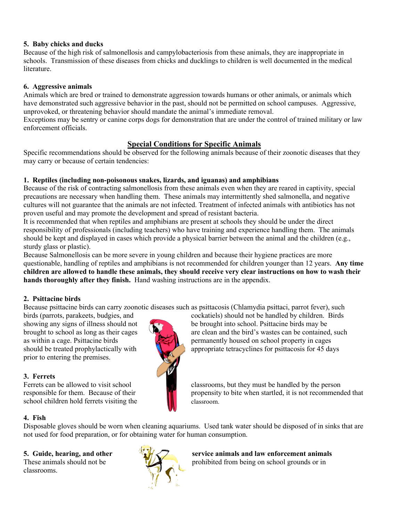#### **5. Baby chicks and ducks**

Because of the high risk of salmonellosis and campylobacteriosis from these animals, they are inappropriate in schools. Transmission of these diseases from chicks and ducklings to children is well documented in the medical literature.

#### **6. Aggressive animals**

Animals which are bred or trained to demonstrate aggression towards humans or other animals, or animals which have demonstrated such aggressive behavior in the past, should not be permitted on school campuses. Aggressive, unprovoked, or threatening behavior should mandate the animal's immediate removal.

Exceptions may be sentry or canine corps dogs for demonstration that are under the control of trained military or law enforcement officials.

#### **Special Conditions for Specific Animals**

Specific recommendations should be observed for the following animals because of their zoonotic diseases that they may carry or because of certain tendencies:

#### **1. Reptiles (including non-poisonous snakes, lizards, and iguanas) and amphibians**

Because of the risk of contracting salmonellosis from these animals even when they are reared in captivity, special precautions are necessary when handling them. These animals may intermittently shed salmonella, and negative cultures will not guarantee that the animals are not infected. Treatment of infected animals with antibiotics has not proven useful and may promote the development and spread of resistant bacteria.

It is recommended that when reptiles and amphibians are present at schools they should be under the direct responsibility of professionals (including teachers) who have training and experience handling them. The animals should be kept and displayed in cases which provide a physical barrier between the animal and the children (e.g., sturdy glass or plastic).

Because Salmonellosis can be more severe in young children and because their hygiene practices are more questionable, handling of reptiles and amphibians is not recommended for children younger than 12 years. **Any time children are allowed to handle these animals, they should receive very clear instructions on how to wash their hands thoroughly after they finish.** Hand washing instructions are in the appendix.

#### **2. Psittacine birds**

Because psittacine birds can carry zoonotic diseases such as psittacosis (Chlamydia psittaci, parrot fever), such

birds (parrots, parakeets, budgies, and cockatiels) should not be handled by children. Birds prior to entering the premises.

#### **3. Ferrets**

school children hold ferrets visiting the **Number** classroom.

#### **4. Fish**

Disposable gloves should be worn when cleaning aquariums. Used tank water should be disposed of in sinks that are not used for food preparation, or for obtaining water for human consumption.

classrooms.



**5. Guide, hearing, and other service animals and law enforcement animals** These animals should not be prohibited from being on school grounds or in



showing any signs of illness should not be brought into school. Psittacine birds may be brought to school as long as their cages  $\mathbb{R}$  are clean and the bird's wastes can be contained, such as within a cage. Psittacine birds permanently housed on school property in cages should be treated prophylactically with appropriate tetracyclines for psittacosis for 45 days

Ferrets can be allowed to visit school classrooms, but they must be handled by the person responsible for them. Because of their propensity to bite when startled, it is not recommended that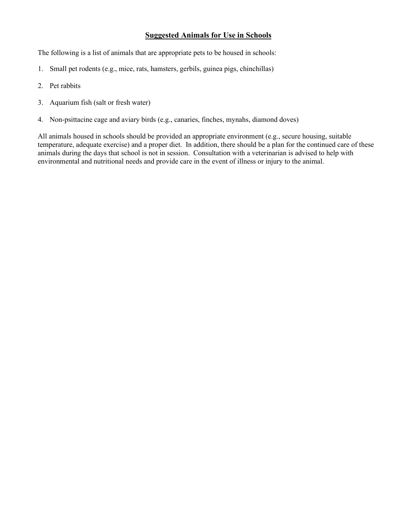#### **Suggested Animals for Use in Schools**

The following is a list of animals that are appropriate pets to be housed in schools:

- 1. Small pet rodents (e.g., mice, rats, hamsters, gerbils, guinea pigs, chinchillas)
- 2. Pet rabbits
- 3. Aquarium fish (salt or fresh water)
- 4. Non-psittacine cage and aviary birds (e.g., canaries, finches, mynahs, diamond doves)

All animals housed in schools should be provided an appropriate environment (e.g., secure housing, suitable temperature, adequate exercise) and a proper diet. In addition, there should be a plan for the continued care of these animals during the days that school is not in session. Consultation with a veterinarian is advised to help with environmental and nutritional needs and provide care in the event of illness or injury to the animal.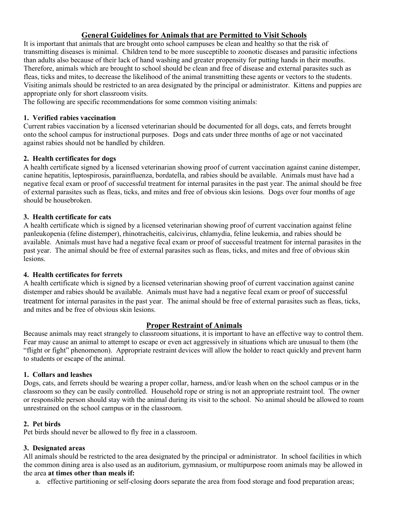#### **General Guidelines for Animals that are Permitted to Visit Schools**

It is important that animals that are brought onto school campuses be clean and healthy so that the risk of transmitting diseases is minimal. Children tend to be more susceptible to zoonotic diseases and parasitic infections than adults also because of their lack of hand washing and greater propensity for putting hands in their mouths. Therefore, animals which are brought to school should be clean and free of disease and external parasites such as fleas, ticks and mites, to decrease the likelihood of the animal transmitting these agents or vectors to the students. Visiting animals should be restricted to an area designated by the principal or administrator. Kittens and puppies are appropriate only for short classroom visits.

The following are specific recommendations for some common visiting animals:

#### **1. Verified rabies vaccination**

Current rabies vaccination by a licensed veterinarian should be documented for all dogs, cats, and ferrets brought onto the school campus for instructional purposes. Dogs and cats under three months of age or not vaccinated against rabies should not be handled by children.

#### **2. Health certificates for dogs**

A health certificate signed by a licensed veterinarian showing proof of current vaccination against canine distemper, canine hepatitis, leptospirosis, parainfluenza, bordatella, and rabies should be available. Animals must have had a negative fecal exam or proof of successful treatment for internal parasites in the past year. The animal should be free of external parasites such as fleas, ticks, and mites and free of obvious skin lesions. Dogs over four months of age should be housebroken.

#### **3. Health certificate for cats**

A health certificate which is signed by a licensed veterinarian showing proof of current vaccination against feline panleukopenia (feline distemper), rhinotracheitis, calcivirus, chlamydia, feline leukemia, and rabies should be available. Animals must have had a negative fecal exam or proof of successful treatment for internal parasites in the past year. The animal should be free of external parasites such as fleas, ticks, and mites and free of obvious skin lesions.

#### **4. Health certificates for ferrets**

A health certificate which is signed by a licensed veterinarian showing proof of current vaccination against canine distemper and rabies should be available. Animals must have had a negative fecal exam or proof of successful treatment for internal parasites in the past year. The animal should be free of external parasites such as fleas, ticks, and mites and be free of obvious skin lesions.

#### **Proper Restraint of Animals**

Because animals may react strangely to classroom situations, it is important to have an effective way to control them. Fear may cause an animal to attempt to escape or even act aggressively in situations which are unusual to them (the "flight or fight" phenomenon). Appropriate restraint devices will allow the holder to react quickly and prevent harm to students or escape of the animal.

#### **1. Collars and leashes**

Dogs, cats, and ferrets should be wearing a proper collar, harness, and/or leash when on the school campus or in the classroom so they can be easily controlled. Household rope or string is not an appropriate restraint tool. The owner or responsible person should stay with the animal during its visit to the school. No animal should be allowed to roam unrestrained on the school campus or in the classroom.

#### **2. Pet birds**

Pet birds should never be allowed to fly free in a classroom.

#### **3. Designated areas**

All animals should be restricted to the area designated by the principal or administrator. In school facilities in which the common dining area is also used as an auditorium, gymnasium, or multipurpose room animals may be allowed in the area **at times other than meals if:**

a. effective partitioning or self-closing doors separate the area from food storage and food preparation areas;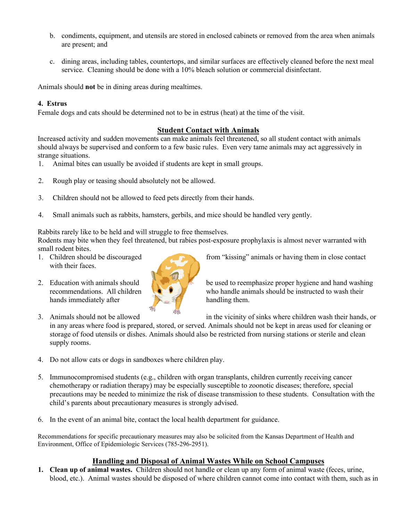- b. condiments, equipment, and utensils are stored in enclosed cabinets or removed from the area when animals are present; and
- c. dining areas, including tables, countertops, and similar surfaces are effectively cleaned before the next meal service. Cleaning should be done with a 10% bleach solution or commercial disinfectant.

Animals should **not** be in dining areas during mealtimes.

#### **4. Estrus**

Female dogs and cats should be determined not to be in estrus (heat) at the time of the visit.

#### **Student Contact with Animals**

Increased activity and sudden movements can make animals feel threatened, so all student contact with animals should always be supervised and conform to a few basic rules. Even very tame animals may act aggressively in strange situations.

- 1. Animal bites can usually be avoided if students are kept in small groups.
- 2. Rough play or teasing should absolutely not be allowed.
- 3. Children should not be allowed to feed pets directly from their hands.
- 4. Small animals such as rabbits, hamsters, gerbils, and mice should be handled very gently.

Rabbits rarely like to be held and will struggle to free themselves.

Rodents may bite when they feel threatened, but rabies post-exposure prophylaxis is almost never warranted with small rodent bites.

- with their faces.
- hands immediately after **the set of the set of the handling them.**



1. Children should be discouraged from "kissing" animals or having them in close contact

2. Education with animals should  $\mathbb{R}$  be used to reemphasize proper hygiene and hand washing recommendations. All children who handle animals should be instructed to wash their

3. Animals should not be allowed in the vicinity of sinks where children wash their hands, or

in any areas where food is prepared, stored, or served. Animals should not be kept in areas used for cleaning or storage of food utensils or dishes. Animals should also be restricted from nursing stations or sterile and clean supply rooms.

- 4. Do not allow cats or dogs in sandboxes where children play.
- 5. Immunocompromised students (e.g., children with organ transplants, children currently receiving cancer chemotherapy or radiation therapy) may be especially susceptible to zoonotic diseases; therefore, special precautions may be needed to minimize the risk of disease transmission to these students. Consultation with the child's parents about precautionary measures is strongly advised.
- 6. In the event of an animal bite, contact the local health department for guidance.

Recommendations for specific precautionary measures may also be solicited from the Kansas Department of Health and Environment, Office of Epidemiologic Services (785-296-2951).

#### **Handling and Disposal of Animal Wastes While on School Campuses**

**1. Clean up of animal wastes.** Children should not handle or clean up any form of animal waste (feces, urine, blood, etc.). Animal wastes should be disposed of where children cannot come into contact with them, such as in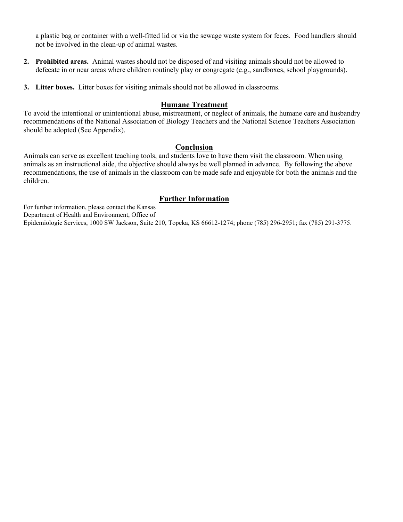a plastic bag or container with a well-fitted lid or via the sewage waste system for feces. Food handlers should not be involved in the clean-up of animal wastes.

- **2. Prohibited areas.** Animal wastes should not be disposed of and visiting animals should not be allowed to defecate in or near areas where children routinely play or congregate (e.g., sandboxes, school playgrounds).
- **3. Litter boxes.** Litter boxes for visiting animals should not be allowed in classrooms.

#### **Humane Treatment**

To avoid the intentional or unintentional abuse, mistreatment, or neglect of animals, the humane care and husbandry recommendations of the National Association of Biology Teachers and the National Science Teachers Association should be adopted (See Appendix).

#### **Conclusion**

Animals can serve as excellent teaching tools, and students love to have them visit the classroom. When using animals as an instructional aide, the objective should always be well planned in advance. By following the above recommendations, the use of animals in the classroom can be made safe and enjoyable for both the animals and the children.

#### **Further Information**

For further information, please contact the Kansas Department of Health and Environment, Office of

Epidemiologic Services, 1000 SW Jackson, Suite 210, Topeka, KS 66612-1274; phone (785) 296-2951; fax (785) 291-3775.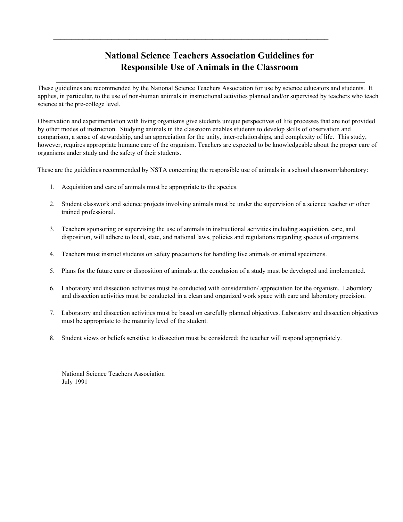## **National Science Teachers Association Guidelines for Responsible Use of Animals in the Classroom**

**\_\_\_\_\_\_\_\_\_\_\_\_\_\_\_\_\_\_\_\_\_\_\_\_\_\_\_\_\_\_\_\_\_\_\_\_\_\_\_\_\_\_\_\_\_\_\_\_\_\_\_\_\_\_\_\_\_\_\_\_\_\_\_\_\_\_\_**

 $\mathcal{L}_\text{max}$  , and the contribution of the contribution of the contribution of the contribution of the contribution of the contribution of the contribution of the contribution of the contribution of the contribution of t

These guidelines are recommended by the National Science Teachers Association for use by science educators and students. It applies, in particular, to the use of non-human animals in instructional activities planned and/or supervised by teachers who teach science at the pre-college level.

Observation and experimentation with living organisms give students unique perspectives of life processes that are not provided by other modes of instruction. Studying animals in the classroom enables students to develop skills of observation and comparison, a sense of stewardship, and an appreciation for the unity, inter-relationships, and complexity of life. This study, however, requires appropriate humane care of the organism. Teachers are expected to be knowledgeable about the proper care of organisms under study and the safety of their students.

These are the guidelines recommended by NSTA concerning the responsible use of animals in a school classroom/laboratory:

- 1. Acquisition and care of animals must be appropriate to the species.
- 2. Student classwork and science projects involving animals must be under the supervision of a science teacher or other trained professional.
- 3. Teachers sponsoring or supervising the use of animals in instructional activities including acquisition, care, and disposition, will adhere to local, state, and national laws, policies and regulations regarding species of organisms.
- 4. Teachers must instruct students on safety precautions for handling live animals or animal specimens.
- 5. Plans for the future care or disposition of animals at the conclusion of a study must be developed and implemented.
- 6. Laboratory and dissection activities must be conducted with consideration/ appreciation for the organism. Laboratory and dissection activities must be conducted in a clean and organized work space with care and laboratory precision.
- 7. Laboratory and dissection activities must be based on carefully planned objectives. Laboratory and dissection objectives must be appropriate to the maturity level of the student.
- 8. Student views or beliefs sensitive to dissection must be considered; the teacher will respond appropriately.

National Science Teachers Association July 1991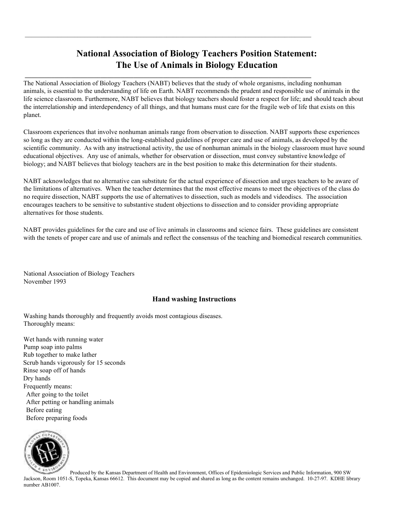## **National Association of Biology Teachers Position Statement: The Use of Animals in Biology Education**

 $\mathcal{L}_\mathcal{L} = \{ \mathcal{L}_\mathcal{L} = \{ \mathcal{L}_\mathcal{L} = \{ \mathcal{L}_\mathcal{L} = \{ \mathcal{L}_\mathcal{L} = \{ \mathcal{L}_\mathcal{L} = \{ \mathcal{L}_\mathcal{L} = \{ \mathcal{L}_\mathcal{L} = \{ \mathcal{L}_\mathcal{L} = \{ \mathcal{L}_\mathcal{L} = \{ \mathcal{L}_\mathcal{L} = \{ \mathcal{L}_\mathcal{L} = \{ \mathcal{L}_\mathcal{L} = \{ \mathcal{L}_\mathcal{L} = \{ \mathcal{L}_\mathcal{$ 

**\_\_\_\_\_\_\_\_\_\_\_\_\_\_\_\_\_\_\_\_\_\_\_\_\_\_\_\_\_\_\_\_\_\_\_\_\_\_\_\_\_\_\_\_\_\_\_\_\_\_\_\_\_\_\_\_\_\_\_\_\_\_\_\_\_\_\_\_\_\_\_\_\_\_\_\_\_\_\_\_\_\_\_\_\_\_\_**

The National Association of Biology Teachers (NABT) believes that the study of whole organisms, including nonhuman animals, is essential to the understanding of life on Earth. NABT recommends the prudent and responsible use of animals in the life science classroom. Furthermore, NABT believes that biology teachers should foster a respect for life; and should teach about the interrelationship and interdependency of all things, and that humans must care for the fragile web of life that exists on this planet.

Classroom experiences that involve nonhuman animals range from observation to dissection. NABT supports these experiences so long as they are conducted within the long-established guidelines of proper care and use of animals, as developed by the scientific community. As with any instructional activity, the use of nonhuman animals in the biology classroom must have sound educational objectives. Any use of animals, whether for observation or dissection, must convey substantive knowledge of biology; and NABT believes that biology teachers are in the best position to make this determination for their students.

NABT acknowledges that no alternative can substitute for the actual experience of dissection and urges teachers to be aware of the limitations of alternatives. When the teacher determines that the most effective means to meet the objectives of the class do no require dissection, NABT supports the use of alternatives to dissection, such as models and videodiscs. The association encourages teachers to be sensitive to substantive student objections to dissection and to consider providing appropriate alternatives for those students.

NABT provides guidelines for the care and use of live animals in classrooms and science fairs. These guidelines are consistent with the tenets of proper care and use of animals and reflect the consensus of the teaching and biomedical research communities.

National Association of Biology Teachers November 1993

#### **Hand washing Instructions**

Washing hands thoroughly and frequently avoids most contagious diseases. Thoroughly means:

Wet hands with running water Pump soap into palms Rub together to make lather Scrub hands vigorously for 15 seconds Rinse soap off of hands Dry hands Frequently means: After going to the toilet After petting or handling animals Before eating Before preparing foods



Produced by the Kansas Department of Health and Environment, Offices of Epidemiologic Services and Public Information, 900 SW Jackson, Room 1051-S, Topeka, Kansas 66612. This document may be copied and shared as long as the content remains unchanged. 10-27-97. KDHE library number AB1007.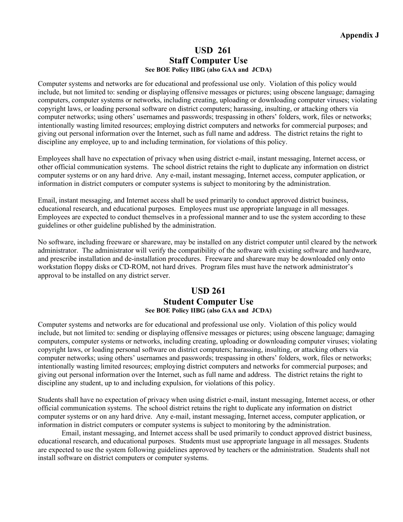#### **USD 261 Staff Computer Use See BOE Policy IIBG (also GAA and JCDA)**

Computer systems and networks are for educational and professional use only. Violation of this policy would include, but not limited to: sending or displaying offensive messages or pictures; using obscene language; damaging computers, computer systems or networks, including creating, uploading or downloading computer viruses; violating copyright laws, or loading personal software on district computers; harassing, insulting, or attacking others via computer networks; using others' usernames and passwords; trespassing in others' folders, work, files or networks; intentionally wasting limited resources; employing district computers and networks for commercial purposes; and giving out personal information over the Internet, such as full name and address. The district retains the right to discipline any employee, up to and including termination, for violations of this policy.

Employees shall have no expectation of privacy when using district e-mail, instant messaging, Internet access, or other official communication systems. The school district retains the right to duplicate any information on district computer systems or on any hard drive. Any e-mail, instant messaging, Internet access, computer application, or information in district computers or computer systems is subject to monitoring by the administration.

Email, instant messaging, and Internet access shall be used primarily to conduct approved district business, educational research, and educational purposes. Employees must use appropriate language in all messages. Employees are expected to conduct themselves in a professional manner and to use the system according to these guidelines or other guideline published by the administration.

No software, including freeware or shareware, may be installed on any district computer until cleared by the network administrator. The administrator will verify the compatibility of the software with existing software and hardware, and prescribe installation and de-installation procedures. Freeware and shareware may be downloaded only onto workstation floppy disks or CD-ROM, not hard drives. Program files must have the network administrator's approval to be installed on any district server.

#### **USD 261 Student Computer Use See BOE Policy IIBG (also GAA and JCDA)**

Computer systems and networks are for educational and professional use only. Violation of this policy would include, but not limited to: sending or displaying offensive messages or pictures; using obscene language; damaging computers, computer systems or networks, including creating, uploading or downloading computer viruses; violating copyright laws, or loading personal software on district computers; harassing, insulting, or attacking others via computer networks; using others' usernames and passwords; trespassing in others' folders, work, files or networks; intentionally wasting limited resources; employing district computers and networks for commercial purposes; and giving out personal information over the Internet, such as full name and address. The district retains the right to discipline any student, up to and including expulsion, for violations of this policy.

Students shall have no expectation of privacy when using district e-mail, instant messaging, Internet access, or other official communication systems. The school district retains the right to duplicate any information on district computer systems or on any hard drive. Any e-mail, instant messaging, Internet access, computer application, or information in district computers or computer systems is subject to monitoring by the administration.

Email, instant messaging, and Internet access shall be used primarily to conduct approved district business, educational research, and educational purposes. Students must use appropriate language in all messages. Students are expected to use the system following guidelines approved by teachers or the administration. Students shall not install software on district computers or computer systems.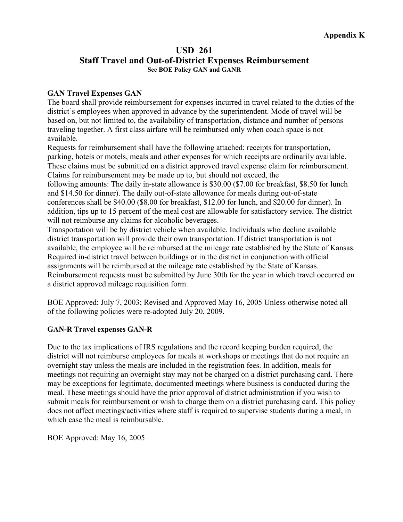#### **USD 261 Staff Travel and Out-of-District Expenses Reimbursement See BOE Policy GAN and GANR**

#### **GAN Travel Expenses GAN**

The board shall provide reimbursement for expenses incurred in travel related to the duties of the district's employees when approved in advance by the superintendent. Mode of travel will be based on, but not limited to, the availability of transportation, distance and number of persons traveling together. A first class airfare will be reimbursed only when coach space is not available.

Requests for reimbursement shall have the following attached: receipts for transportation, parking, hotels or motels, meals and other expenses for which receipts are ordinarily available. These claims must be submitted on a district approved travel expense claim for reimbursement. Claims for reimbursement may be made up to, but should not exceed, the

following amounts: The daily in-state allowance is \$30.00 (\$7.00 for breakfast, \$8.50 for lunch and \$14.50 for dinner). The daily out-of-state allowance for meals during out-of-state conferences shall be \$40.00 (\$8.00 for breakfast, \$12.00 for lunch, and \$20.00 for dinner). In addition, tips up to 15 percent of the meal cost are allowable for satisfactory service. The district will not reimburse any claims for alcoholic beverages.

Transportation will be by district vehicle when available. Individuals who decline available district transportation will provide their own transportation. If district transportation is not available, the employee will be reimbursed at the mileage rate established by the State of Kansas. Required in-district travel between buildings or in the district in conjunction with official assignments will be reimbursed at the mileage rate established by the State of Kansas. Reimbursement requests must be submitted by June 30th for the year in which travel occurred on a district approved mileage requisition form.

BOE Approved: July 7, 2003; Revised and Approved May 16, 2005 Unless otherwise noted all of the following policies were re-adopted July 20, 2009.

#### **GAN-R Travel expenses GAN-R**

Due to the tax implications of IRS regulations and the record keeping burden required, the district will not reimburse employees for meals at workshops or meetings that do not require an overnight stay unless the meals are included in the registration fees. In addition, meals for meetings not requiring an overnight stay may not be charged on a district purchasing card. There may be exceptions for legitimate, documented meetings where business is conducted during the meal. These meetings should have the prior approval of district administration if you wish to submit meals for reimbursement or wish to charge them on a district purchasing card. This policy does not affect meetings/activities where staff is required to supervise students during a meal, in which case the meal is reimbursable.

BOE Approved: May 16, 2005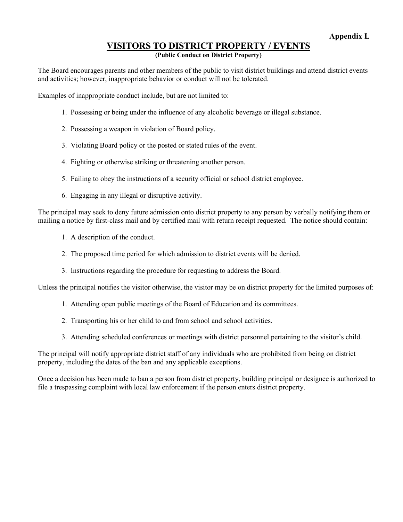## **VISITORS TO DISTRICT PROPERTY / EVENTS**

#### **(Public Conduct on District Property)**

The Board encourages parents and other members of the public to visit district buildings and attend district events and activities; however, inappropriate behavior or conduct will not be tolerated.

Examples of inappropriate conduct include, but are not limited to:

- 1. Possessing or being under the influence of any alcoholic beverage or illegal substance.
- 2. Possessing a weapon in violation of Board policy.
- 3. Violating Board policy or the posted or stated rules of the event.
- 4. Fighting or otherwise striking or threatening another person.
- 5. Failing to obey the instructions of a security official or school district employee.
- 6. Engaging in any illegal or disruptive activity.

The principal may seek to deny future admission onto district property to any person by verbally notifying them or mailing a notice by first-class mail and by certified mail with return receipt requested. The notice should contain:

- 1. A description of the conduct.
- 2. The proposed time period for which admission to district events will be denied.
- 3. Instructions regarding the procedure for requesting to address the Board.

Unless the principal notifies the visitor otherwise, the visitor may be on district property for the limited purposes of:

- 1. Attending open public meetings of the Board of Education and its committees.
- 2. Transporting his or her child to and from school and school activities.
- 3. Attending scheduled conferences or meetings with district personnel pertaining to the visitor's child.

The principal will notify appropriate district staff of any individuals who are prohibited from being on district property, including the dates of the ban and any applicable exceptions.

Once a decision has been made to ban a person from district property, building principal or designee is authorized to file a trespassing complaint with local law enforcement if the person enters district property.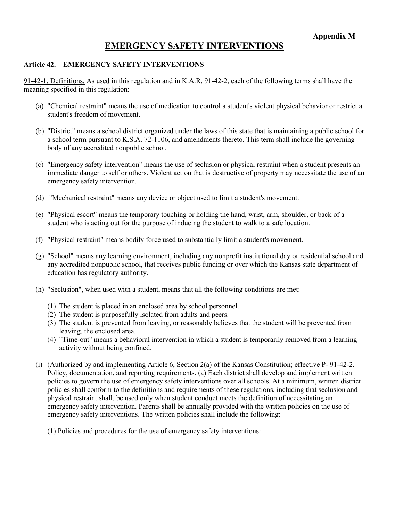## **EMERGENCY SAFETY INTERVENTIONS**

#### **Article 42. – EMERGENCY SAFETY INTERVENTIONS**

91-42-1. Definitions. As used in this regulation and in K.A.R. 91-42-2, each of the following terms shall have the meaning specified in this regulation:

- (a) "Chemical restraint" means the use of medication to control a student's violent physical behavior or restrict a student's freedom of movement.
- (b) "District" means a school district organized under the laws of this state that is maintaining a public school for a school term pursuant to K.S.A. 72-1106, and amendments thereto. This term shall include the governing body of any accredited nonpublic school.
- (c) "Emergency safety intervention" means the use of seclusion or physical restraint when a student presents an immediate danger to self or others. Violent action that is destructive of property may necessitate the use of an emergency safety intervention.
- (d) "Mechanical restraint" means any device or object used to limit a student's movement.
- (e) "Physical escort" means the temporary touching or holding the hand, wrist, arm, shoulder, or back of a student who is acting out for the purpose of inducing the student to walk to a safe location.
- (f) "Physical restraint" means bodily force used to substantially limit a student's movement.
- (g) "School" means any learning environment, including any nonprofit institutional day or residential school and any accredited nonpublic school, that receives public funding or over which the Kansas state department of education has regulatory authority.
- (h) "Seclusion", when used with a student, means that all the following conditions are met:
	- (1) The student is placed in an enclosed area by school personnel.
	- (2) The student is purposefully isolated from adults and peers.
	- (3) The student is prevented from leaving, or reasonably believes that the student will be prevented from leaving, the enclosed area.
	- (4) "Time-out" means a behavioral intervention in which a student is temporarily removed from a learning activity without being confined.
- (i) (Authorized by and implementing Article 6, Section 2(a) of the Kansas Constitution; effective P- 91-42-2. Policy, documentation, and reporting requirements. (a) Each district shall develop and implement written policies to govern the use of emergency safety interventions over all schools. At a minimum, written district policies shall conform to the definitions and requirements of these regulations, including that seclusion and physical restraint shall. be used only when student conduct meets the definition of necessitating an emergency safety intervention. Parents shall be annually provided with the written policies on the use of emergency safety interventions. The written policies shall include the following:

(1) Policies and procedures for the use of emergency safety interventions: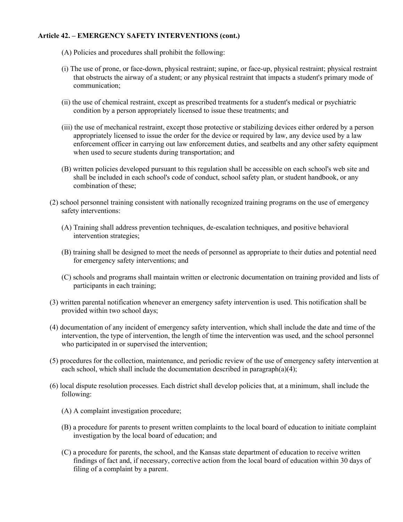#### **Article 42. – EMERGENCY SAFETY INTERVENTIONS (cont.)**

- (A) Policies and procedures shall prohibit the following:
- (i) The use of prone, or face-down, physical restraint; supine, or face-up, physical restraint; physical restraint that obstructs the airway of a student; or any physical restraint that impacts a student's primary mode of communication;
- (ii) the use of chemical restraint, except as prescribed treatments for a student's medical or psychiatric condition by a person appropriately licensed to issue these treatments; and
- (iii) the use of mechanical restraint, except those protective or stabilizing devices either ordered by a person appropriately licensed to issue the order for the device or required by law, any device used by a law enforcement officer in carrying out law enforcement duties, and seatbelts and any other safety equipment when used to secure students during transportation; and
- (B) written policies developed pursuant to this regulation shall be accessible on each school's web site and shall be included in each school's code of conduct, school safety plan, or student handbook, or any combination of these;
- (2) school personnel training consistent with nationally recognized training programs on the use of emergency safety interventions:
	- (A) Training shall address prevention techniques, de-escalation techniques, and positive behavioral intervention strategies;
	- (B) training shall be designed to meet the needs of personnel as appropriate to their duties and potential need for emergency safety interventions; and
	- (C) schools and programs shall maintain written or electronic documentation on training provided and lists of participants in each training;
- (3) written parental notification whenever an emergency safety intervention is used. This notification shall be provided within two school days;
- (4) documentation of any incident of emergency safety intervention, which shall include the date and time of the intervention, the type of intervention, the length of time the intervention was used, and the school personnel who participated in or supervised the intervention;
- (5) procedures for the collection, maintenance, and periodic review of the use of emergency safety intervention at each school, which shall include the documentation described in paragraph(a)(4);
- (6) local dispute resolution processes. Each district shall develop policies that, at a minimum, shall include the following:
	- (A) A complaint investigation procedure;
	- (B) a procedure for parents to present written complaints to the local board of education to initiate complaint investigation by the local board of education; and
	- (C) a procedure for parents, the school, and the Kansas state department of education to receive written findings of fact and, if necessary, corrective action from the local board of education within 30 days of filing of a complaint by a parent.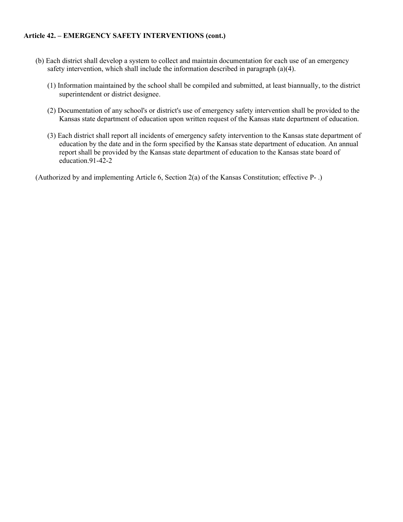#### **Article 42. – EMERGENCY SAFETY INTERVENTIONS (cont.)**

- (b) Each district shall develop a system to collect and maintain documentation for each use of an emergency safety intervention, which shall include the information described in paragraph (a)(4).
	- (1) Information maintained by the school shall be compiled and submitted, at least biannually, to the district superintendent or district designee.
	- (2) Documentation of any school's or district's use of emergency safety intervention shall be provided to the Kansas state department of education upon written request of the Kansas state department of education.
	- (3) Each district shall report all incidents of emergency safety intervention to the Kansas state department of education by the date and in the form specified by the Kansas state department of education. An annual report shall be provided by the Kansas state department of education to the Kansas state board of education.91-42-2

(Authorized by and implementing Article 6, Section 2(a) of the Kansas Constitution; effective P- .)